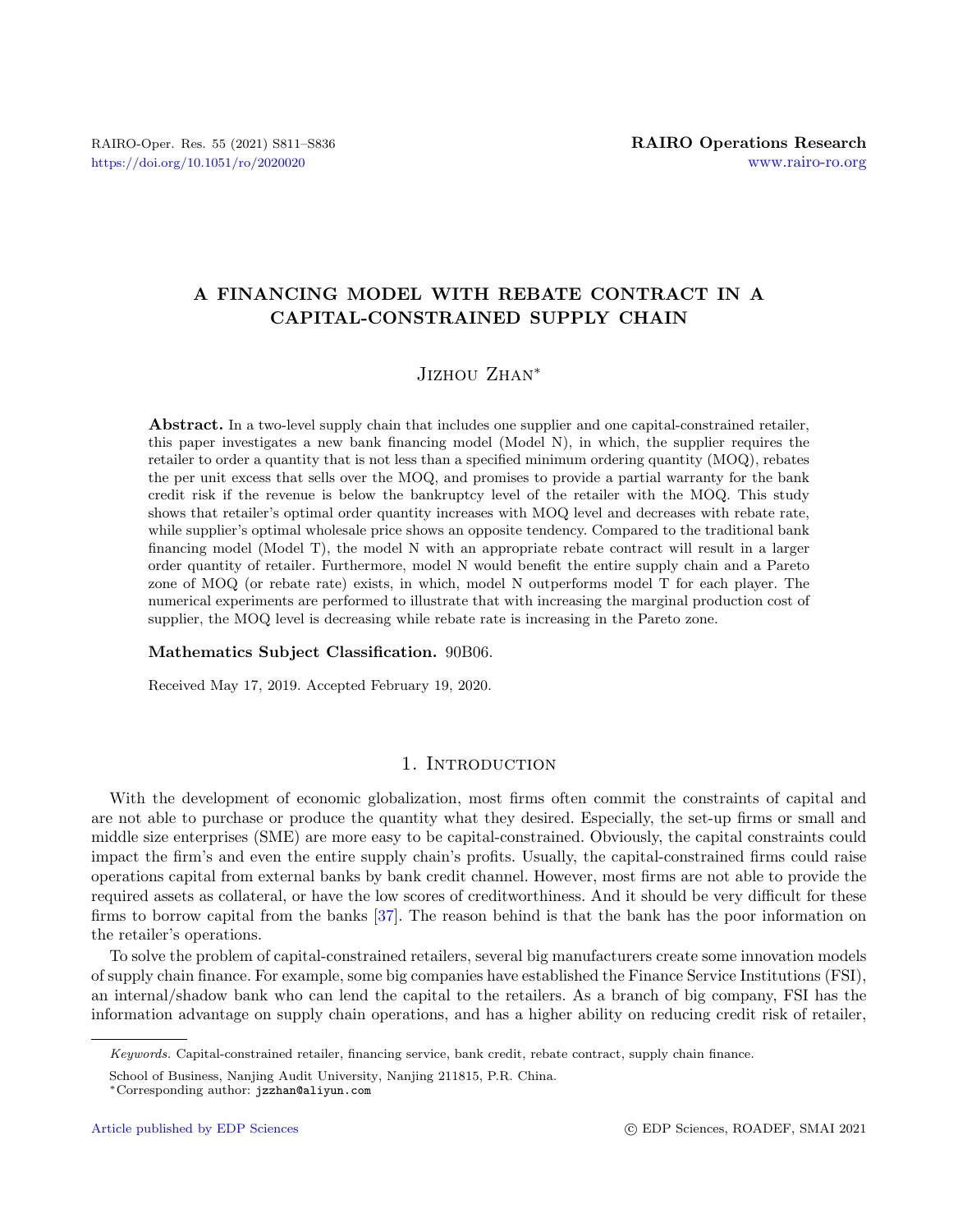# A FINANCING MODEL WITH REBATE CONTRACT IN A CAPITAL-CONSTRAINED SUPPLY CHAIN

# Jizhou Zhan<sup>∗</sup>

Abstract. In a two-level supply chain that includes one supplier and one capital-constrained retailer, this paper investigates a new bank financing model (Model N), in which, the supplier requires the retailer to order a quantity that is not less than a specified minimum ordering quantity (MOQ), rebates the per unit excess that sells over the MOQ, and promises to provide a partial warranty for the bank credit risk if the revenue is below the bankruptcy level of the retailer with the MOQ. This study shows that retailer's optimal order quantity increases with MOQ level and decreases with rebate rate, while supplier's optimal wholesale price shows an opposite tendency. Compared to the traditional bank financing model (Model T), the model N with an appropriate rebate contract will result in a larger order quantity of retailer. Furthermore, model N would benefit the entire supply chain and a Pareto zone of MOQ (or rebate rate) exists, in which, model N outperforms model T for each player. The numerical experiments are performed to illustrate that with increasing the marginal production cost of supplier, the MOQ level is decreasing while rebate rate is increasing in the Pareto zone.

### Mathematics Subject Classification. 90B06.

Received May 17, 2019. Accepted February 19, 2020.

# 1. INTRODUCTION

With the development of economic globalization, most firms often commit the constraints of capital and are not able to purchase or produce the quantity what they desired. Especially, the set-up firms or small and middle size enterprises (SME) are more easy to be capital-constrained. Obviously, the capital constraints could impact the firm's and even the entire supply chain's profits. Usually, the capital-constrained firms could raise operations capital from external banks by bank credit channel. However, most firms are not able to provide the required assets as collateral, or have the low scores of creditworthiness. And it should be very difficult for these firms to borrow capital from the banks [\[37\]](#page-25-0). The reason behind is that the bank has the poor information on the retailer's operations.

To solve the problem of capital-constrained retailers, several big manufacturers create some innovation models of supply chain finance. For example, some big companies have established the Finance Service Institutions (FSI), an internal/shadow bank who can lend the capital to the retailers. As a branch of big company, FSI has the information advantage on supply chain operations, and has a higher ability on reducing credit risk of retailer,

Keywords. Capital-constrained retailer, financing service, bank credit, rebate contract, supply chain finance.

School of Business, Nanjing Audit University, Nanjing 211815, P.R. China.

<sup>∗</sup>Corresponding author: [jzzhan@aliyun.com](mailto:jzzhan@aliyun.com)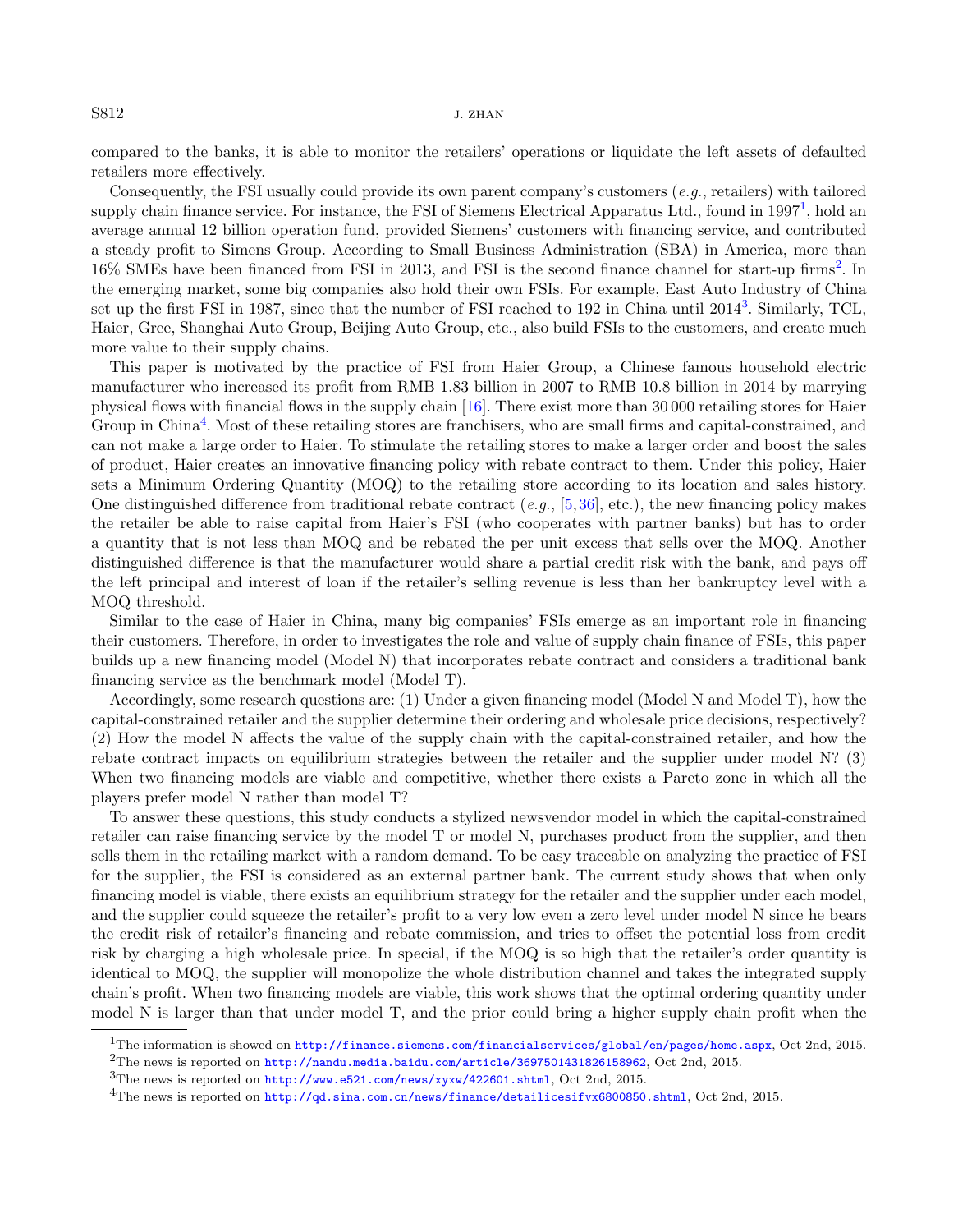compared to the banks, it is able to monitor the retailers' operations or liquidate the left assets of defaulted retailers more effectively.

Consequently, the FSI usually could provide its own parent company's customers (e.g., retailers) with tailored supply chain finance service. For instance, the FSI of Siemens Electrical Apparatus Ltd., found in [1](#page-1-0)997<sup>1</sup>, hold an average annual 12 billion operation fund, provided Siemens' customers with financing service, and contributed a steady profit to Simens Group. According to Small Business Administration (SBA) in America, more than 16% SMEs have been financed from FSI in [2](#page-1-1)013, and FSI is the second finance channel for start-up firms<sup>2</sup>. In the emerging market, some big companies also hold their own FSIs. For example, East Auto Industry of China set up the first FSI in 1987, since that the number of FSI reached to 192 in China until 2014<sup>[3](#page-1-2)</sup>. Similarly, TCL, Haier, Gree, Shanghai Auto Group, Beijing Auto Group, etc., also build FSIs to the customers, and create much more value to their supply chains.

This paper is motivated by the practice of FSI from Haier Group, a Chinese famous household electric manufacturer who increased its profit from RMB 1.83 billion in 2007 to RMB 10.8 billion in 2014 by marrying physical flows with financial flows in the supply chain [\[16\]](#page-25-1). There exist more than 30 000 retailing stores for Haier Group in China<sup>[4](#page-1-3)</sup>. Most of these retailing stores are franchisers, who are small firms and capital-constrained, and can not make a large order to Haier. To stimulate the retailing stores to make a larger order and boost the sales of product, Haier creates an innovative financing policy with rebate contract to them. Under this policy, Haier sets a Minimum Ordering Quantity (MOQ) to the retailing store according to its location and sales history. One distinguished difference from traditional rebate contract (e.g., [\[5,](#page-24-0)[36\]](#page-25-2), etc.), the new financing policy makes the retailer be able to raise capital from Haier's FSI (who cooperates with partner banks) but has to order a quantity that is not less than MOQ and be rebated the per unit excess that sells over the MOQ. Another distinguished difference is that the manufacturer would share a partial credit risk with the bank, and pays off the left principal and interest of loan if the retailer's selling revenue is less than her bankruptcy level with a MOQ threshold.

Similar to the case of Haier in China, many big companies' FSIs emerge as an important role in financing their customers. Therefore, in order to investigates the role and value of supply chain finance of FSIs, this paper builds up a new financing model (Model N) that incorporates rebate contract and considers a traditional bank financing service as the benchmark model (Model T).

Accordingly, some research questions are: (1) Under a given financing model (Model N and Model T), how the capital-constrained retailer and the supplier determine their ordering and wholesale price decisions, respectively? (2) How the model N affects the value of the supply chain with the capital-constrained retailer, and how the rebate contract impacts on equilibrium strategies between the retailer and the supplier under model N? (3) When two financing models are viable and competitive, whether there exists a Pareto zone in which all the players prefer model N rather than model T?

<span id="page-1-3"></span><span id="page-1-2"></span><span id="page-1-1"></span><span id="page-1-0"></span>To answer these questions, this study conducts a stylized newsvendor model in which the capital-constrained retailer can raise financing service by the model T or model N, purchases product from the supplier, and then sells them in the retailing market with a random demand. To be easy traceable on analyzing the practice of FSI for the supplier, the FSI is considered as an external partner bank. The current study shows that when only financing model is viable, there exists an equilibrium strategy for the retailer and the supplier under each model, and the supplier could squeeze the retailer's profit to a very low even a zero level under model N since he bears the credit risk of retailer's financing and rebate commission, and tries to offset the potential loss from credit risk by charging a high wholesale price. In special, if the MOQ is so high that the retailer's order quantity is identical to MOQ, the supplier will monopolize the whole distribution channel and takes the integrated supply chain's profit. When two financing models are viable, this work shows that the optimal ordering quantity under model N is larger than that under model T, and the prior could bring a higher supply chain profit when the

<sup>1</sup>The information is showed on <http://finance.siemens.com/financialservices/global/en/pages/home.aspx>, Oct 2nd, 2015.  $^{2}$ The news is reported on <http://nandu.media.baidu.com/article/3697501431826158962>, Oct 2nd, 2015.

<sup>3</sup>The news is reported on <http://www.e521.com/news/xyxw/422601.shtml>, Oct 2nd, 2015.

<sup>&</sup>lt;sup>4</sup>The news is reported on <http://qd.sina.com.cn/news/finance/detailicesifvx6800850.shtml>, Oct 2nd, 2015.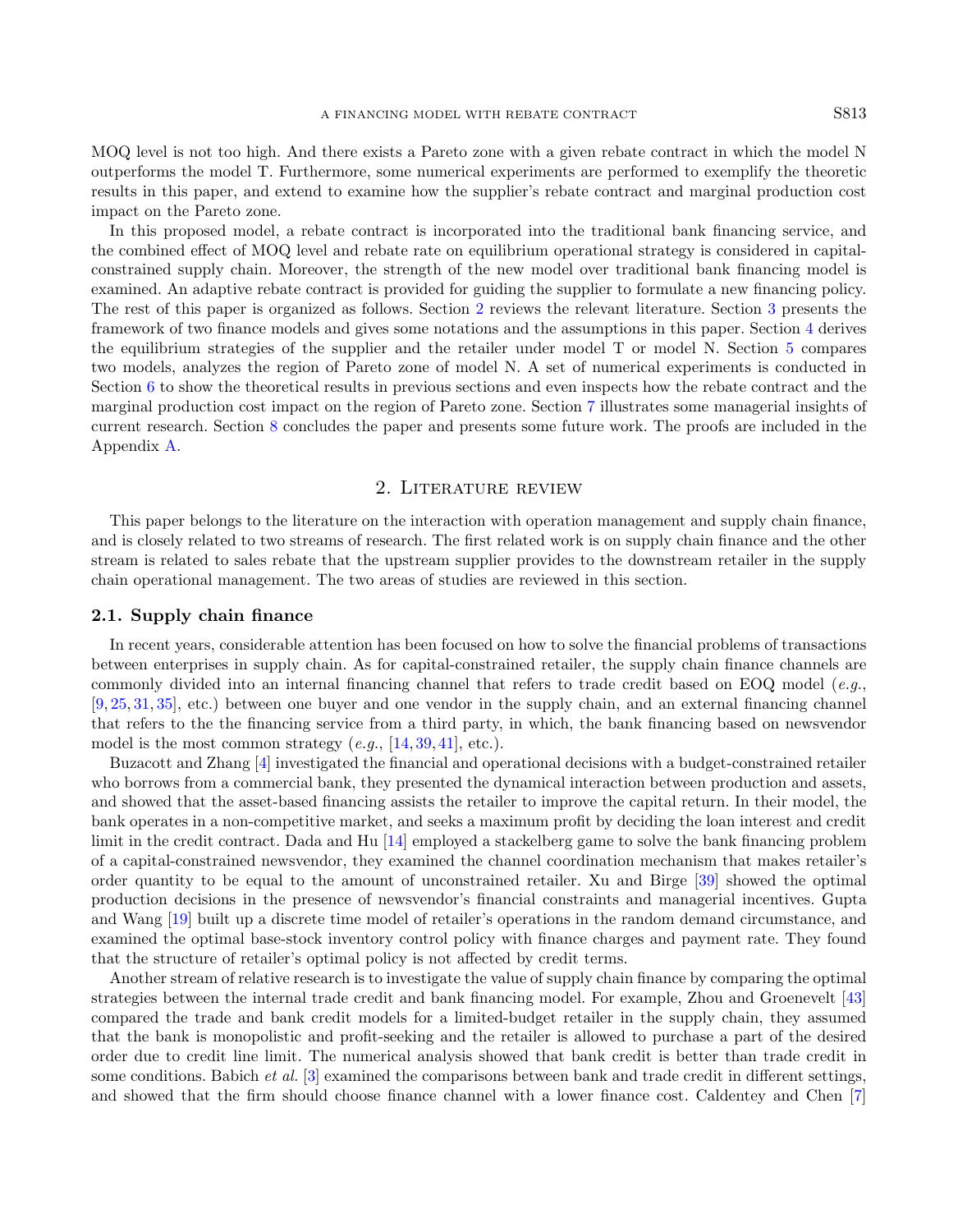MOQ level is not too high. And there exists a Pareto zone with a given rebate contract in which the model N outperforms the model T. Furthermore, some numerical experiments are performed to exemplify the theoretic results in this paper, and extend to examine how the supplier's rebate contract and marginal production cost impact on the Pareto zone.

In this proposed model, a rebate contract is incorporated into the traditional bank financing service, and the combined effect of MOQ level and rebate rate on equilibrium operational strategy is considered in capitalconstrained supply chain. Moreover, the strength of the new model over traditional bank financing model is examined. An adaptive rebate contract is provided for guiding the supplier to formulate a new financing policy. The rest of this paper is organized as follows. Section [2](#page-2-0) reviews the relevant literature. Section [3](#page-5-0) presents the framework of two finance models and gives some notations and the assumptions in this paper. Section [4](#page-7-0) derives the equilibrium strategies of the supplier and the retailer under model T or model N. Section [5](#page-10-0) compares two models, analyzes the region of Pareto zone of model N. A set of numerical experiments is conducted in Section [6](#page-12-0) to show the theoretical results in previous sections and even inspects how the rebate contract and the marginal production cost impact on the region of Pareto zone. Section [7](#page-20-0) illustrates some managerial insights of current research. Section [8](#page-20-1) concludes the paper and presents some future work. The proofs are included in the Appendix [A.](#page-21-0)

### 2. Literature review

<span id="page-2-0"></span>This paper belongs to the literature on the interaction with operation management and supply chain finance, and is closely related to two streams of research. The first related work is on supply chain finance and the other stream is related to sales rebate that the upstream supplier provides to the downstream retailer in the supply chain operational management. The two areas of studies are reviewed in this section.

# 2.1. Supply chain finance

In recent years, considerable attention has been focused on how to solve the financial problems of transactions between enterprises in supply chain. As for capital-constrained retailer, the supply chain finance channels are commonly divided into an internal financing channel that refers to trade credit based on EOQ model (e.g., [\[9,](#page-24-1) [25,](#page-25-3) [31,](#page-25-4) [35\]](#page-25-5), etc.) between one buyer and one vendor in the supply chain, and an external financing channel that refers to the the financing service from a third party, in which, the bank financing based on newsvendor model is the most common strategy  $(e.g., [14, 39, 41], etc.).$  $(e.g., [14, 39, 41], etc.).$  $(e.g., [14, 39, 41], etc.).$  $(e.g., [14, 39, 41], etc.).$  $(e.g., [14, 39, 41], etc.).$  $(e.g., [14, 39, 41], etc.).$  $(e.g., [14, 39, 41], etc.).$ 

Buzacott and Zhang [\[4\]](#page-24-2) investigated the financial and operational decisions with a budget-constrained retailer who borrows from a commercial bank, they presented the dynamical interaction between production and assets, and showed that the asset-based financing assists the retailer to improve the capital return. In their model, the bank operates in a non-competitive market, and seeks a maximum profit by deciding the loan interest and credit limit in the credit contract. Dada and Hu [\[14\]](#page-25-6) employed a stackelberg game to solve the bank financing problem of a capital-constrained newsvendor, they examined the channel coordination mechanism that makes retailer's order quantity to be equal to the amount of unconstrained retailer. Xu and Birge [\[39\]](#page-25-7) showed the optimal production decisions in the presence of newsvendor's financial constraints and managerial incentives. Gupta and Wang [\[19\]](#page-25-9) built up a discrete time model of retailer's operations in the random demand circumstance, and examined the optimal base-stock inventory control policy with finance charges and payment rate. They found that the structure of retailer's optimal policy is not affected by credit terms.

Another stream of relative research is to investigate the value of supply chain finance by comparing the optimal strategies between the internal trade credit and bank financing model. For example, Zhou and Groenevelt [\[43\]](#page-25-10) compared the trade and bank credit models for a limited-budget retailer in the supply chain, they assumed that the bank is monopolistic and profit-seeking and the retailer is allowed to purchase a part of the desired order due to credit line limit. The numerical analysis showed that bank credit is better than trade credit in some conditions. Babich *et al.* [\[3\]](#page-24-3) examined the comparisons between bank and trade credit in different settings, and showed that the firm should choose finance channel with a lower finance cost. Caldentey and Chen [\[7\]](#page-24-4)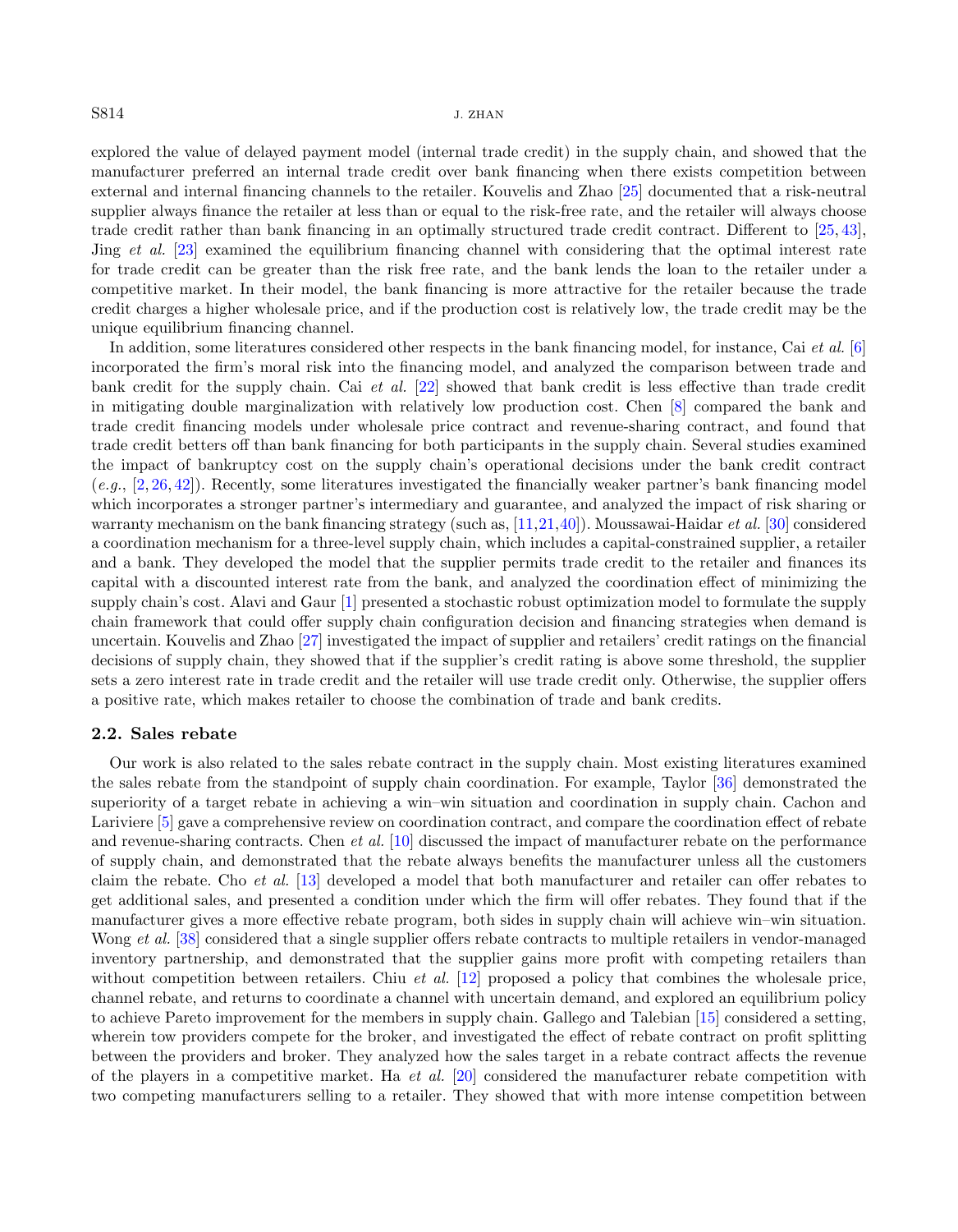### $S814$  J. ZHAN

explored the value of delayed payment model (internal trade credit) in the supply chain, and showed that the manufacturer preferred an internal trade credit over bank financing when there exists competition between external and internal financing channels to the retailer. Kouvelis and Zhao [\[25\]](#page-25-3) documented that a risk-neutral supplier always finance the retailer at less than or equal to the risk-free rate, and the retailer will always choose trade credit rather than bank financing in an optimally structured trade credit contract. Different to [\[25,](#page-25-3) [43\]](#page-25-10), Jing et al. [\[23\]](#page-25-11) examined the equilibrium financing channel with considering that the optimal interest rate for trade credit can be greater than the risk free rate, and the bank lends the loan to the retailer under a competitive market. In their model, the bank financing is more attractive for the retailer because the trade credit charges a higher wholesale price, and if the production cost is relatively low, the trade credit may be the unique equilibrium financing channel.

In addition, some literatures considered other respects in the bank financing model, for instance, Cai *et al.* [\[6\]](#page-24-5) incorporated the firm's moral risk into the financing model, and analyzed the comparison between trade and bank credit for the supply chain. Cai et al. [\[22\]](#page-25-12) showed that bank credit is less effective than trade credit in mitigating double marginalization with relatively low production cost. Chen [\[8\]](#page-24-6) compared the bank and trade credit financing models under wholesale price contract and revenue-sharing contract, and found that trade credit betters off than bank financing for both participants in the supply chain. Several studies examined the impact of bankruptcy cost on the supply chain's operational decisions under the bank credit contract  $(e.g., [2, 26, 42])$  $(e.g., [2, 26, 42])$  $(e.g., [2, 26, 42])$  $(e.g., [2, 26, 42])$  $(e.g., [2, 26, 42])$  $(e.g., [2, 26, 42])$  $(e.g., [2, 26, 42])$ . Recently, some literatures investigated the financially weaker partner's bank financing model which incorporates a stronger partner's intermediary and guarantee, and analyzed the impact of risk sharing or warranty mechanism on the bank financing strategy (such as, [\[11,](#page-24-8)[21,](#page-25-15)[40\]](#page-25-16)). Moussawai-Haidar *et al.* [\[30\]](#page-25-17) considered a coordination mechanism for a three-level supply chain, which includes a capital-constrained supplier, a retailer and a bank. They developed the model that the supplier permits trade credit to the retailer and finances its capital with a discounted interest rate from the bank, and analyzed the coordination effect of minimizing the supply chain's cost. Alavi and Gaur [\[1\]](#page-24-9) presented a stochastic robust optimization model to formulate the supply chain framework that could offer supply chain configuration decision and financing strategies when demand is uncertain. Kouvelis and Zhao [\[27\]](#page-25-18) investigated the impact of supplier and retailers' credit ratings on the financial decisions of supply chain, they showed that if the supplier's credit rating is above some threshold, the supplier sets a zero interest rate in trade credit and the retailer will use trade credit only. Otherwise, the supplier offers a positive rate, which makes retailer to choose the combination of trade and bank credits.

#### 2.2. Sales rebate

Our work is also related to the sales rebate contract in the supply chain. Most existing literatures examined the sales rebate from the standpoint of supply chain coordination. For example, Taylor [\[36\]](#page-25-2) demonstrated the superiority of a target rebate in achieving a win–win situation and coordination in supply chain. Cachon and Lariviere [\[5\]](#page-24-0) gave a comprehensive review on coordination contract, and compare the coordination effect of rebate and revenue-sharing contracts. Chen et al. [\[10\]](#page-24-10) discussed the impact of manufacturer rebate on the performance of supply chain, and demonstrated that the rebate always benefits the manufacturer unless all the customers claim the rebate. Cho et al. [\[13\]](#page-24-11) developed a model that both manufacturer and retailer can offer rebates to get additional sales, and presented a condition under which the firm will offer rebates. They found that if the manufacturer gives a more effective rebate program, both sides in supply chain will achieve win–win situation. Wong *et al.* [\[38\]](#page-25-19) considered that a single supplier offers rebate contracts to multiple retailers in vendor-managed inventory partnership, and demonstrated that the supplier gains more profit with competing retailers than without competition between retailers. Chiu et al.  $[12]$  proposed a policy that combines the wholesale price, channel rebate, and returns to coordinate a channel with uncertain demand, and explored an equilibrium policy to achieve Pareto improvement for the members in supply chain. Gallego and Talebian [\[15\]](#page-25-20) considered a setting, wherein tow providers compete for the broker, and investigated the effect of rebate contract on profit splitting between the providers and broker. They analyzed how the sales target in a rebate contract affects the revenue of the players in a competitive market. Ha et al.  $[20]$  considered the manufacturer rebate competition with two competing manufacturers selling to a retailer. They showed that with more intense competition between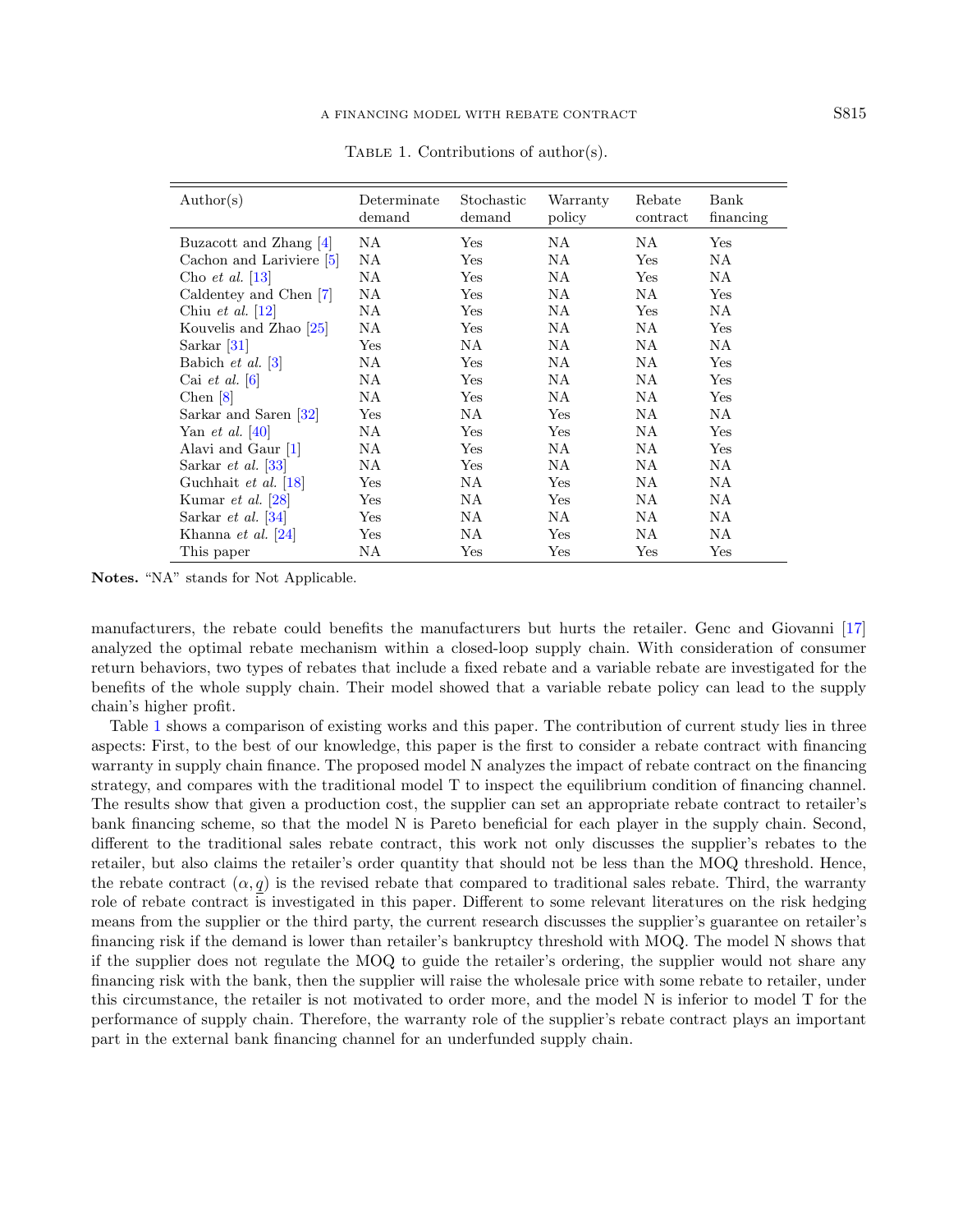| $\text{Author}(s)$                  | Determinate<br>demand | Stochastic<br>demand | Warranty<br>policy | Rebate<br>contract | Bank<br>financing |
|-------------------------------------|-----------------------|----------------------|--------------------|--------------------|-------------------|
| Buzacott and Zhang [4]              | NA                    | Yes                  | NА                 | NA                 | Yes               |
| Cachon and Lariviere [5]            | ΝA                    | Yes                  | NA                 | Yes                | NА                |
| Cho <i>et al.</i> [13]              | NA                    | Yes                  | NA                 | Yes                | NA                |
| Caldentey and Chen [7]              | ΝA                    | Yes                  | NA                 | NA                 | Yes               |
| Chiu <i>et al.</i> $[12]$           | ΝA                    | Yes                  | NA                 | Yes                | NA                |
| Kouvelis and Zhao $\left 25\right $ | ΝA                    | Yes                  | NA                 | NA                 | Yes               |
| Sarkar $\left[31\right]$            | Yes                   | ΝA                   | NA                 | NA.                | ΝA                |
| Babich <i>et al.</i> $ 3 $          | NА                    | Yes                  | NA                 | NA                 | Yes               |
| Cai <i>et al.</i> $ 6 $             | ΝA                    | Yes                  | NA                 | NA                 | Yes               |
| Chen [8]                            | ΝA                    | Yes                  | NA                 | NA                 | Yes               |
| Sarkar and Saren [32]               | Yes                   | NA                   | Yes                | NA                 | NA                |
| Yan <i>et al.</i> [40]              | ΝA                    | Yes                  | Yes                | NA                 | Yes               |
| Alavi and Gaur [1]                  | ΝA                    | Yes                  | NA                 | NA                 | Yes               |
| Sarkar <i>et al.</i> [33]           | ΝA                    | Yes                  | NA                 | NA                 | NA                |
| Guchhait et al. [18]                | Yes                   | NA                   | Yes                | NA                 | NA                |
| Kumar <i>et al.</i> $ 28 $          | $_{\rm Yes}$          | ΝA                   | Yes                | NA                 | NA                |
| Sarkar <i>et al.</i> $ 34 $         | Yes                   | NA.                  | NA                 | NA                 | NA                |
| Khanna et al. [24]                  | Yes                   | ΝA                   | Yes                | NA                 | NA                |
| This paper                          | ΝA                    | Yes                  | Yes                | Yes                | Yes               |

<span id="page-4-0"></span>TABLE 1. Contributions of author(s).

Notes. "NA" stands for Not Applicable.

manufacturers, the rebate could benefits the manufacturers but hurts the retailer. Genc and Giovanni [\[17\]](#page-25-28) analyzed the optimal rebate mechanism within a closed-loop supply chain. With consideration of consumer return behaviors, two types of rebates that include a fixed rebate and a variable rebate are investigated for the benefits of the whole supply chain. Their model showed that a variable rebate policy can lead to the supply chain's higher profit.

Table [1](#page-4-0) shows a comparison of existing works and this paper. The contribution of current study lies in three aspects: First, to the best of our knowledge, this paper is the first to consider a rebate contract with financing warranty in supply chain finance. The proposed model N analyzes the impact of rebate contract on the financing strategy, and compares with the traditional model T to inspect the equilibrium condition of financing channel. The results show that given a production cost, the supplier can set an appropriate rebate contract to retailer's bank financing scheme, so that the model N is Pareto beneficial for each player in the supply chain. Second, different to the traditional sales rebate contract, this work not only discusses the supplier's rebates to the retailer, but also claims the retailer's order quantity that should not be less than the MOQ threshold. Hence, the rebate contract  $(\alpha, q)$  is the revised rebate that compared to traditional sales rebate. Third, the warranty role of rebate contract is investigated in this paper. Different to some relevant literatures on the risk hedging means from the supplier or the third party, the current research discusses the supplier's guarantee on retailer's financing risk if the demand is lower than retailer's bankruptcy threshold with MOQ. The model N shows that if the supplier does not regulate the MOQ to guide the retailer's ordering, the supplier would not share any financing risk with the bank, then the supplier will raise the wholesale price with some rebate to retailer, under this circumstance, the retailer is not motivated to order more, and the model N is inferior to model T for the performance of supply chain. Therefore, the warranty role of the supplier's rebate contract plays an important part in the external bank financing channel for an underfunded supply chain.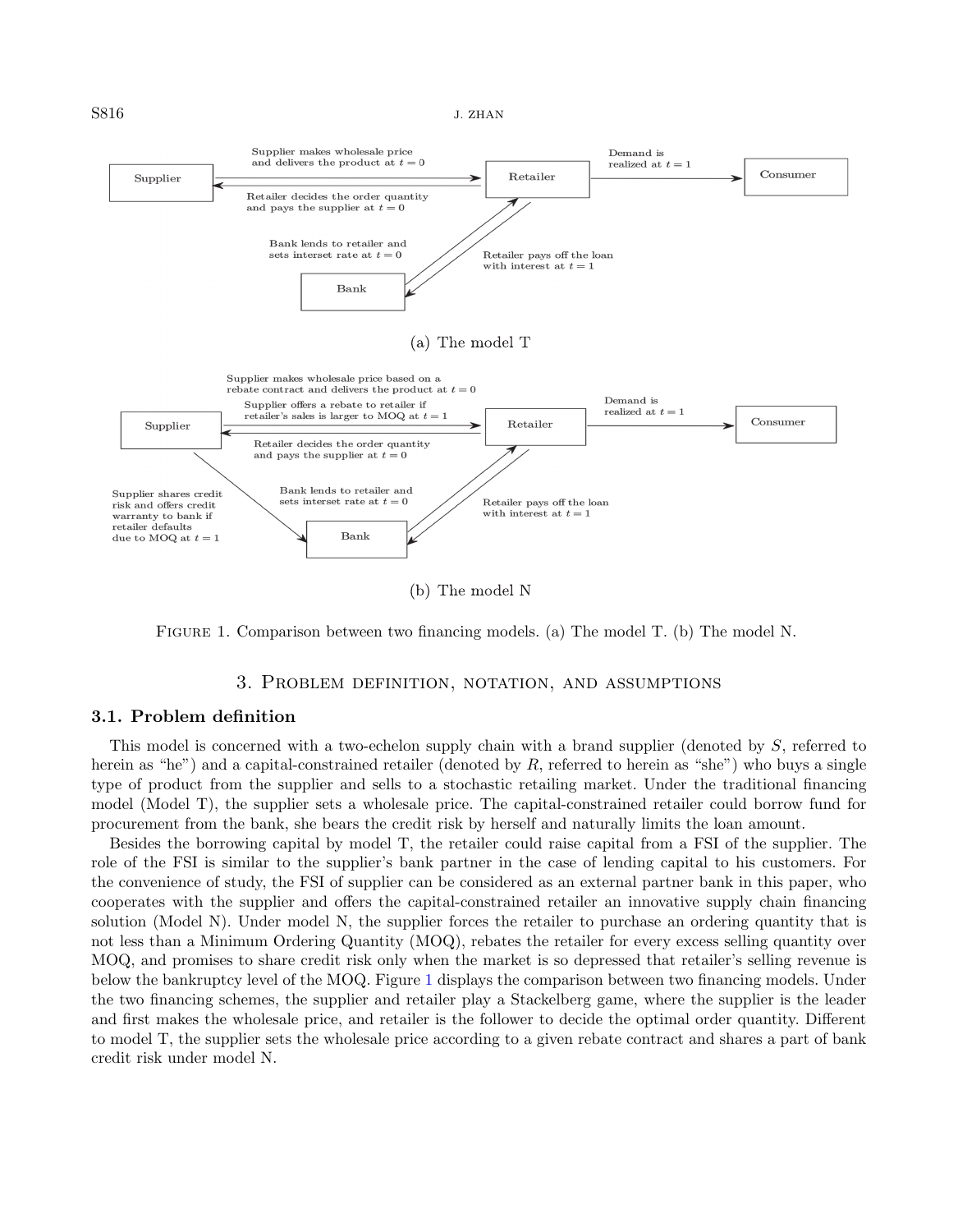$S816$  J. ZHAN



(b) The model N

<span id="page-5-1"></span>Figure 1. Comparison between two financing models. (a) The model T. (b) The model N.

# 3. Problem definition, notation, and assumptions

# <span id="page-5-0"></span>3.1. Problem definition

This model is concerned with a two-echelon supply chain with a brand supplier (denoted by S, referred to herein as "he") and a capital-constrained retailer (denoted by R, referred to herein as "she") who buys a single type of product from the supplier and sells to a stochastic retailing market. Under the traditional financing model (Model T), the supplier sets a wholesale price. The capital-constrained retailer could borrow fund for procurement from the bank, she bears the credit risk by herself and naturally limits the loan amount.

Besides the borrowing capital by model T, the retailer could raise capital from a FSI of the supplier. The role of the FSI is similar to the supplier's bank partner in the case of lending capital to his customers. For the convenience of study, the FSI of supplier can be considered as an external partner bank in this paper, who cooperates with the supplier and offers the capital-constrained retailer an innovative supply chain financing solution (Model N). Under model N, the supplier forces the retailer to purchase an ordering quantity that is not less than a Minimum Ordering Quantity (MOQ), rebates the retailer for every excess selling quantity over MOQ, and promises to share credit risk only when the market is so depressed that retailer's selling revenue is below the bankruptcy level of the MOQ. Figure [1](#page-5-1) displays the comparison between two financing models. Under the two financing schemes, the supplier and retailer play a Stackelberg game, where the supplier is the leader and first makes the wholesale price, and retailer is the follower to decide the optimal order quantity. Different to model T, the supplier sets the wholesale price according to a given rebate contract and shares a part of bank credit risk under model N.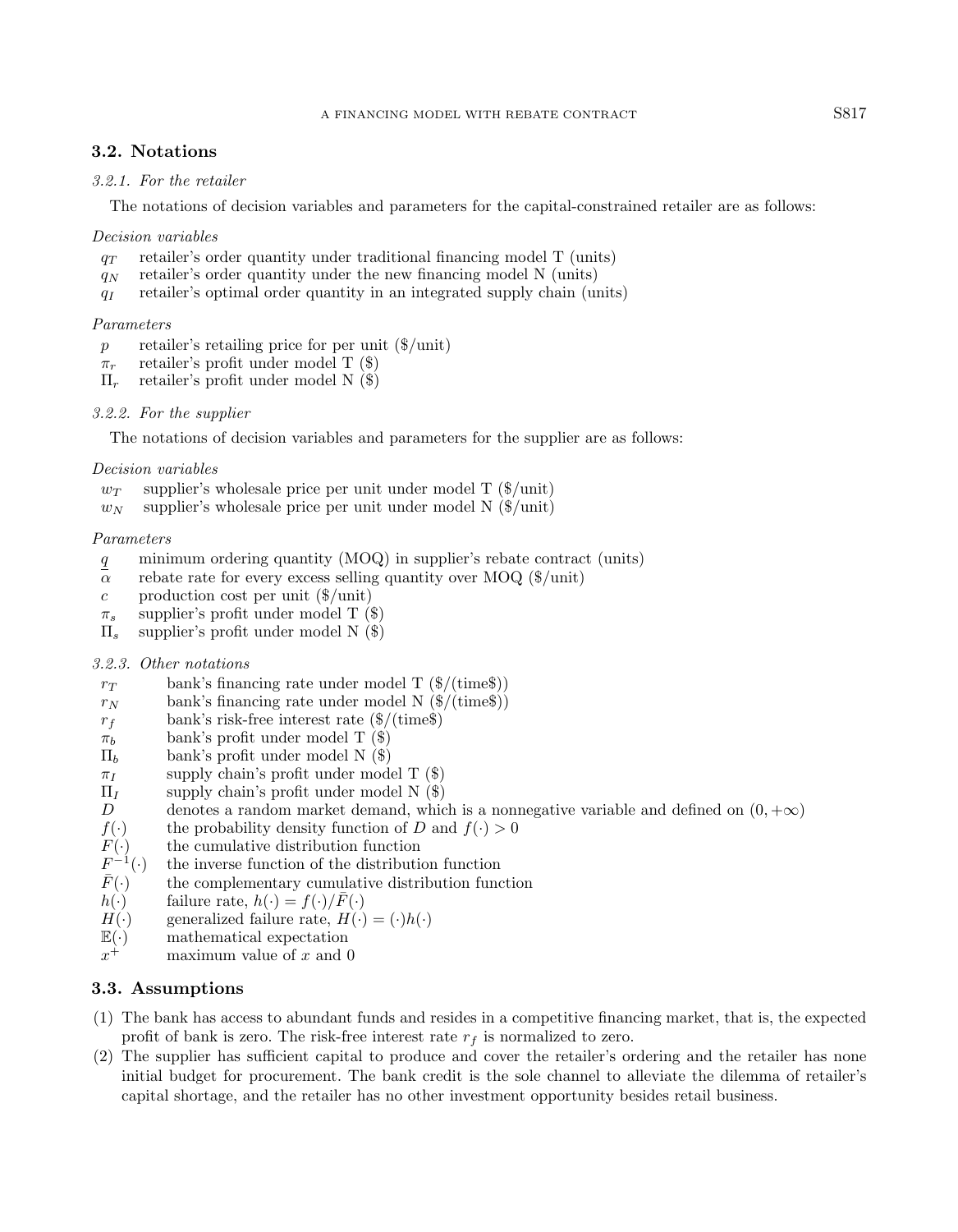# 3.2. Notations

# 3.2.1. For the retailer

The notations of decision variables and parameters for the capital-constrained retailer are as follows:

#### Decision variables

- $q_T$  retailer's order quantity under traditional financing model T (units)
- $q_N$  retailer's order quantity under the new financing model N (units)
- $q_I$  retailer's optimal order quantity in an integrated supply chain (units)

# Parameters

- p retailer's retailing price for per unit  $(\frac{1}{2})$ unit)
- $\pi_r$  retailer's profit under model T (\$)
- $\Pi_r$  retailer's profit under model N (\$)

# 3.2.2. For the supplier

The notations of decision variables and parameters for the supplier are as follows:

### Decision variables

- $w_T$  supplier's wholesale price per unit under model T (\$/unit)
- $w_N$  supplier's wholesale price per unit under model N (\$/unit)

#### Parameters

- q minimum ordering quantity (MOQ) in supplier's rebate contract (units)
- $\alpha$  rebate rate for every excess selling quantity over MOQ (\$/unit)
- c production cost per unit  $(\frac{1}{2})$ unit)
- $\pi_s$  supplier's profit under model T (\$)
- $\Pi_s$  supplier's profit under model N  $(\$)$

# 3.2.3. Other notations

- $r_T$  bank's financing rate under model T ( $\sqrt{(time)}$ )
- $r_N$  bank's financing rate under model N ( $\sqrt{(time)}$ )
- $r_f$  bank's risk-free interest rate (\$/(time\$)
- $\pi_b$  bank's profit under model T (\$)<br>  $\Pi_b$  bank's profit under model N (\$)
- bank's profit under model  $N$  (\$)
- $\pi_I$  supply chain's profit under model T (\$)
- $\Pi_I$  supply chain's profit under model N (\$)<br>D denotes a random market demand, which
- D denotes a random market demand, which is a nonnegative variable and defined on  $(0, +\infty)$ <br>  $f(\cdot)$  the probability density function of D and  $f(\cdot) > 0$
- the probability density function of D and  $f(\cdot) > 0$
- $F(\cdot)$  the cumulative distribution function
- $F^{-1}$ the inverse function of the distribution function
- $\bar{F}(\cdot)$  the complementary cumulative distribution function
- h(·) failure rate,  $h(\cdot) = f(\cdot)/\bar{F}(\cdot)$
- $H(\cdot)$  generalized failure rate,  $H(\cdot) = (\cdot)h(\cdot)$
- $\mathbb{E}(\cdot)$  mathematical expectation
- $x^+$ maximum value of  $x$  and 0

# 3.3. Assumptions

- (1) The bank has access to abundant funds and resides in a competitive financing market, that is, the expected profit of bank is zero. The risk-free interest rate  $r_f$  is normalized to zero.
- (2) The supplier has sufficient capital to produce and cover the retailer's ordering and the retailer has none initial budget for procurement. The bank credit is the sole channel to alleviate the dilemma of retailer's capital shortage, and the retailer has no other investment opportunity besides retail business.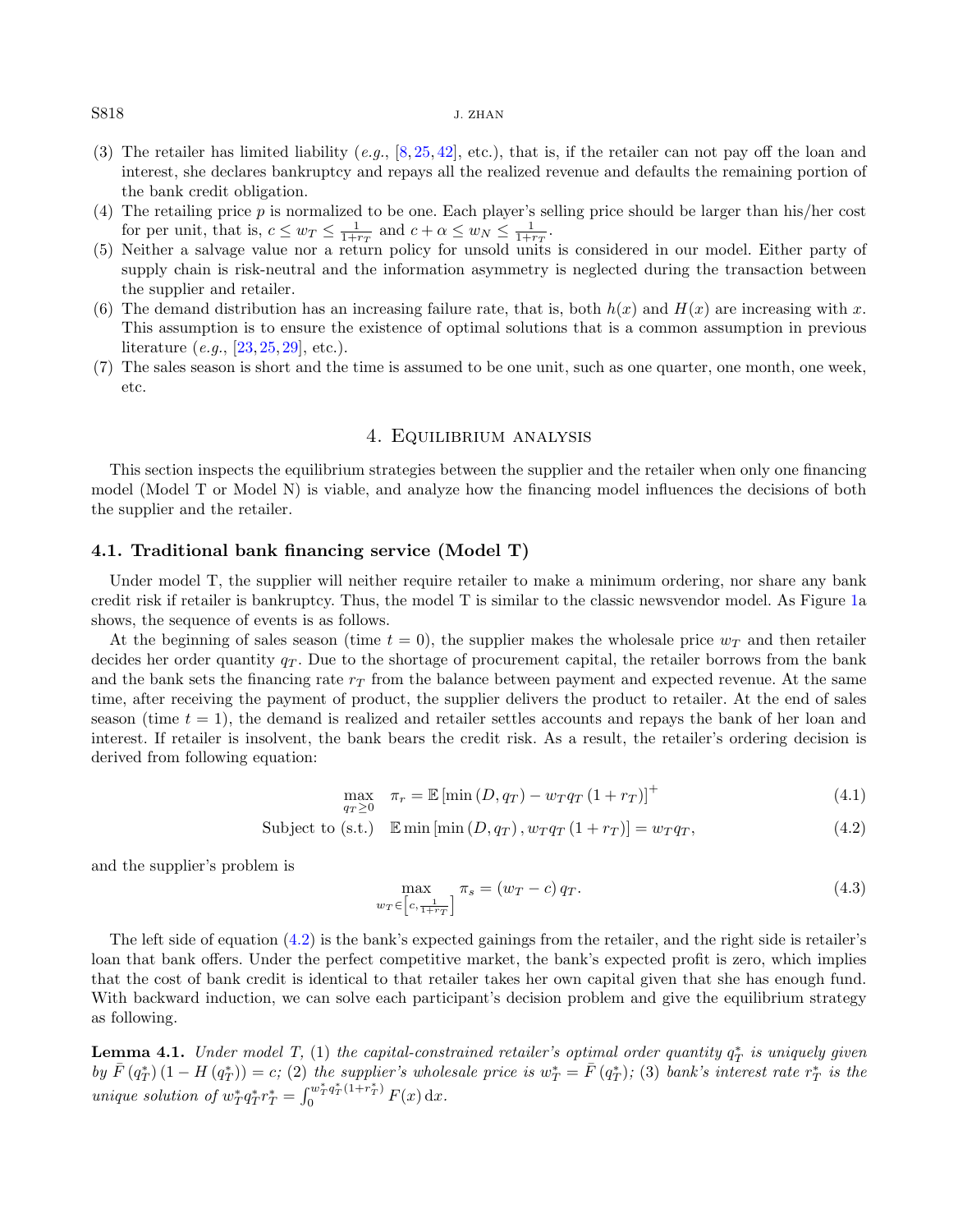### $S818$  J. ZHAN

- (3) The retailer has limited liability  $(e.g., [8, 25, 42], etc.),$  $(e.g., [8, 25, 42], etc.),$  $(e.g., [8, 25, 42], etc.),$  $(e.g., [8, 25, 42], etc.),$  $(e.g., [8, 25, 42], etc.),$  $(e.g., [8, 25, 42], etc.),$  $(e.g., [8, 25, 42], etc.),$  that is, if the retailer can not pay off the loan and interest, she declares bankruptcy and repays all the realized revenue and defaults the remaining portion of the bank credit obligation.
- (4) The retailing price  $p$  is normalized to be one. Each player's selling price should be larger than his/her cost for per unit, that is,  $c \leq w_T \leq \frac{1}{1+r_T}$  and  $c + \alpha \leq w_N \leq \frac{1}{1+r_T}$ .
- (5) Neither a salvage value nor a return policy for unsold units is considered in our model. Either party of supply chain is risk-neutral and the information asymmetry is neglected during the transaction between the supplier and retailer.
- (6) The demand distribution has an increasing failure rate, that is, both  $h(x)$  and  $H(x)$  are increasing with x. This assumption is to ensure the existence of optimal solutions that is a common assumption in previous literature  $(e.g., [23, 25, 29], etc.).$  $(e.g., [23, 25, 29], etc.).$  $(e.g., [23, 25, 29], etc.).$  $(e.g., [23, 25, 29], etc.).$  $(e.g., [23, 25, 29], etc.).$  $(e.g., [23, 25, 29], etc.).$  $(e.g., [23, 25, 29], etc.).$
- (7) The sales season is short and the time is assumed to be one unit, such as one quarter, one month, one week, etc.

# <span id="page-7-3"></span><span id="page-7-1"></span>4. Equilibrium analysis

<span id="page-7-0"></span>This section inspects the equilibrium strategies between the supplier and the retailer when only one financing model (Model T or Model N) is viable, and analyze how the financing model influences the decisions of both the supplier and the retailer.

# 4.1. Traditional bank financing service (Model T)

Under model T, the supplier will neither require retailer to make a minimum ordering, nor share any bank credit risk if retailer is bankruptcy. Thus, the model T is similar to the classic newsvendor model. As Figure [1a](#page-5-1) shows, the sequence of events is as follows.

At the beginning of sales season (time  $t = 0$ ), the supplier makes the wholesale price  $w_T$  and then retailer decides her order quantity  $q_T$ . Due to the shortage of procurement capital, the retailer borrows from the bank and the bank sets the financing rate  $r<sub>T</sub>$  from the balance between payment and expected revenue. At the same time, after receiving the payment of product, the supplier delivers the product to retailer. At the end of sales season (time  $t = 1$ ), the demand is realized and retailer settles accounts and repays the bank of her loan and interest. If retailer is insolvent, the bank bears the credit risk. As a result, the retailer's ordering decision is derived from following equation:

<span id="page-7-4"></span>
$$
\max_{q_T \ge 0} \quad \pi_r = \mathbb{E} \left[ \min \left( D, q_T \right) - w_T q_T \left( 1 + r_T \right) \right]^+ \tag{4.1}
$$

<span id="page-7-2"></span>
$$
Subject to (s.t.) \quad \mathbb{E} \min\left[\min\left(D, q_T\right), w_T q_T \left(1 + r_T\right)\right] = w_T q_T,\tag{4.2}
$$

and the supplier's problem is

$$
\max_{w_T \in \left[c, \frac{1}{1+r_T}\right]} \pi_s = (w_T - c) q_T. \tag{4.3}
$$

The left side of equation [\(4.2\)](#page-7-1) is the bank's expected gainings from the retailer, and the right side is retailer's loan that bank offers. Under the perfect competitive market, the bank's expected profit is zero, which implies that the cost of bank credit is identical to that retailer takes her own capital given that she has enough fund. With backward induction, we can solve each participant's decision problem and give the equilibrium strategy as following.

**Lemma 4.1.** Under model T, (1) the capital-constrained retailer's optimal order quantity  $q_T^*$  is uniquely given by  $\bar{F}(q_T^*)(1-H(q_T^*))=c$ ; (2) the supplier's wholesale price is  $w_T^*=\bar{F}(q_T^*)$ ; (3) bank's interest rate  $r_T^*$  is the unique solution of  $w_T^* q_T^* r_T^* = \int_0^{w_T^* q_T^* (1+r_T^*)} F(x) dx$ .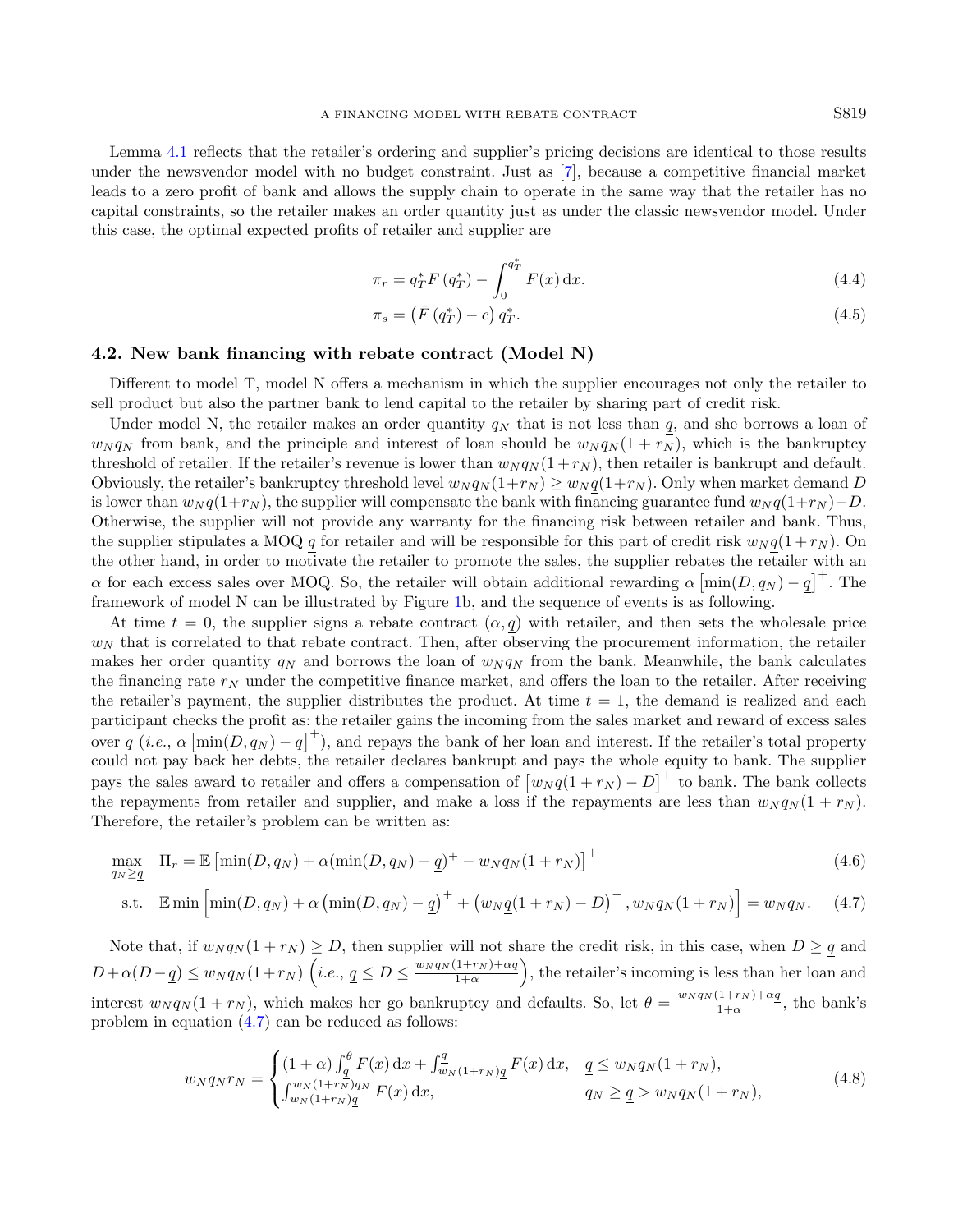Lemma [4.1](#page-7-2) reflects that the retailer's ordering and supplier's pricing decisions are identical to those results under the newsvendor model with no budget constraint. Just as [\[7\]](#page-24-4), because a competitive financial market leads to a zero profit of bank and allows the supply chain to operate in the same way that the retailer has no capital constraints, so the retailer makes an order quantity just as under the classic newsvendor model. Under this case, the optimal expected profits of retailer and supplier are

<span id="page-8-3"></span><span id="page-8-2"></span>
$$
\pi_r = q_T^* F(q_T^*) - \int_0^{q_T^*} F(x) \, dx. \tag{4.4}
$$

<span id="page-8-4"></span><span id="page-8-0"></span>
$$
\pi_s = \left(\bar{F}\left(q_T^*\right) - c\right)q_T^*.\tag{4.5}
$$

# 4.2. New bank financing with rebate contract (Model N)

Different to model T, model N offers a mechanism in which the supplier encourages not only the retailer to sell product but also the partner bank to lend capital to the retailer by sharing part of credit risk.

Under model N, the retailer makes an order quantity  $q_N$  that is not less than q, and she borrows a loan of  $w_N q_N$  from bank, and the principle and interest of loan should be  $w_N q_N (1 + r_N)$ , which is the bankruptcy threshold of retailer. If the retailer's revenue is lower than  $w_N q_N (1 + r_N)$ , then retailer is bankrupt and default. Obviously, the retailer's bankruptcy threshold level  $w_N q_N (1+r_N) \geq w_N q (1+r_N)$ . Only when market demand D is lower than  $w_N q(1+r_N)$ , the supplier will compensate the bank with financing guarantee fund  $w_N q(1+r_N) - D$ . Otherwise, the supplier will not provide any warranty for the financing risk between retailer and bank. Thus, the supplier stipulates a MOQ q for retailer and will be responsible for this part of credit risk  $w_N q(1 + r_N)$ . On the other hand, in order to motivate the retailer to promote the sales, the supplier rebates the retailer with an  $\alpha$  for each excess sales over MOQ. So, the retailer will obtain additional rewarding  $\alpha \left[\min(D, q_N) - q\right]^+$ . The framework of model N can be illustrated by Figure [1b](#page-5-1), and the sequence of events is as following.

At time  $t = 0$ , the supplier signs a rebate contract  $(\alpha, q)$  with retailer, and then sets the wholesale price  $w_N$  that is correlated to that rebate contract. Then, after observing the procurement information, the retailer makes her order quantity  $q_N$  and borrows the loan of  $w_N q_N$  from the bank. Meanwhile, the bank calculates the financing rate  $r_N$  under the competitive finance market, and offers the loan to the retailer. After receiving the retailer's payment, the supplier distributes the product. At time  $t = 1$ , the demand is realized and each participant checks the profit as: the retailer gains the incoming from the sales market and reward of excess sales over  $q$  (*i.e.*,  $\alpha \left[\min(D, q_N) - q\right]^+$ ), and repays the bank of her loan and interest. If the retailer's total property could not pay back her debts, the retailer declares bankrupt and pays the whole equity to bank. The supplier pays the sales award to retailer and offers a compensation of  $[w_N q(1 + r_N) - D]$ <sup>+</sup> to bank. The bank collects the repayments from retailer and supplier, and make a loss if the repayments are less than  $w_N q_N (1 + r_N)$ . Therefore, the retailer's problem can be written as:

$$
\max_{q_N \ge q} \quad \Pi_r = \mathbb{E} \left[ \min(D, q_N) + \alpha(\min(D, q_N) - q)^+ - w_N q_N (1 + r_N) \right]^+ \tag{4.6}
$$

$$
\text{s.t.} \quad \mathbb{E}\min\left[\min(D,q_N) + \alpha\left(\min(D,q_N) - \underline{q}\right)^+ + \left(w_N\underline{q}(1+r_N) - D\right)^+, w_Nq_N(1+r_N)\right] = w_Nq_N. \tag{4.7}
$$

Note that, if  $w_N q_N (1 + r_N) \ge D$ , then supplier will not share the credit risk, in this case, when  $D \ge q$  and  $D+\alpha(D-q) \leq w_N q_N(1+r_N) \left(i.e.,\, q \leq D \leq \frac{w_N q_N(1+r_N)+\alpha q_N}{1+\alpha}\right)$  $\frac{(1+r_N)+\alpha q}{1+\alpha}$ , the retailer's incoming is less than her loan and interest  $w_N q_N (1 + r_N)$ , which makes her go bankruptcy and defaults. So, let  $\theta = \frac{w_N q_N (1 + r_N) + \alpha q_N}{1 + \alpha}$  $\frac{1+\alpha}{1+\alpha}$ , the bank's problem in equation [\(4.7\)](#page-8-0) can be reduced as follows:

<span id="page-8-1"></span>
$$
w_N q_N r_N = \begin{cases} (1+\alpha) \int_q^\theta F(x) dx + \int_{w_N}^q (1+r_N) q_N F(x) dx, & q \le w_N q_N (1+r_N), \\ \int_{w_N}^{w_N (1+r_N) q_N} F(x) dx, & q_N \ge q > w_N q_N (1+r_N), \end{cases}
$$
(4.8)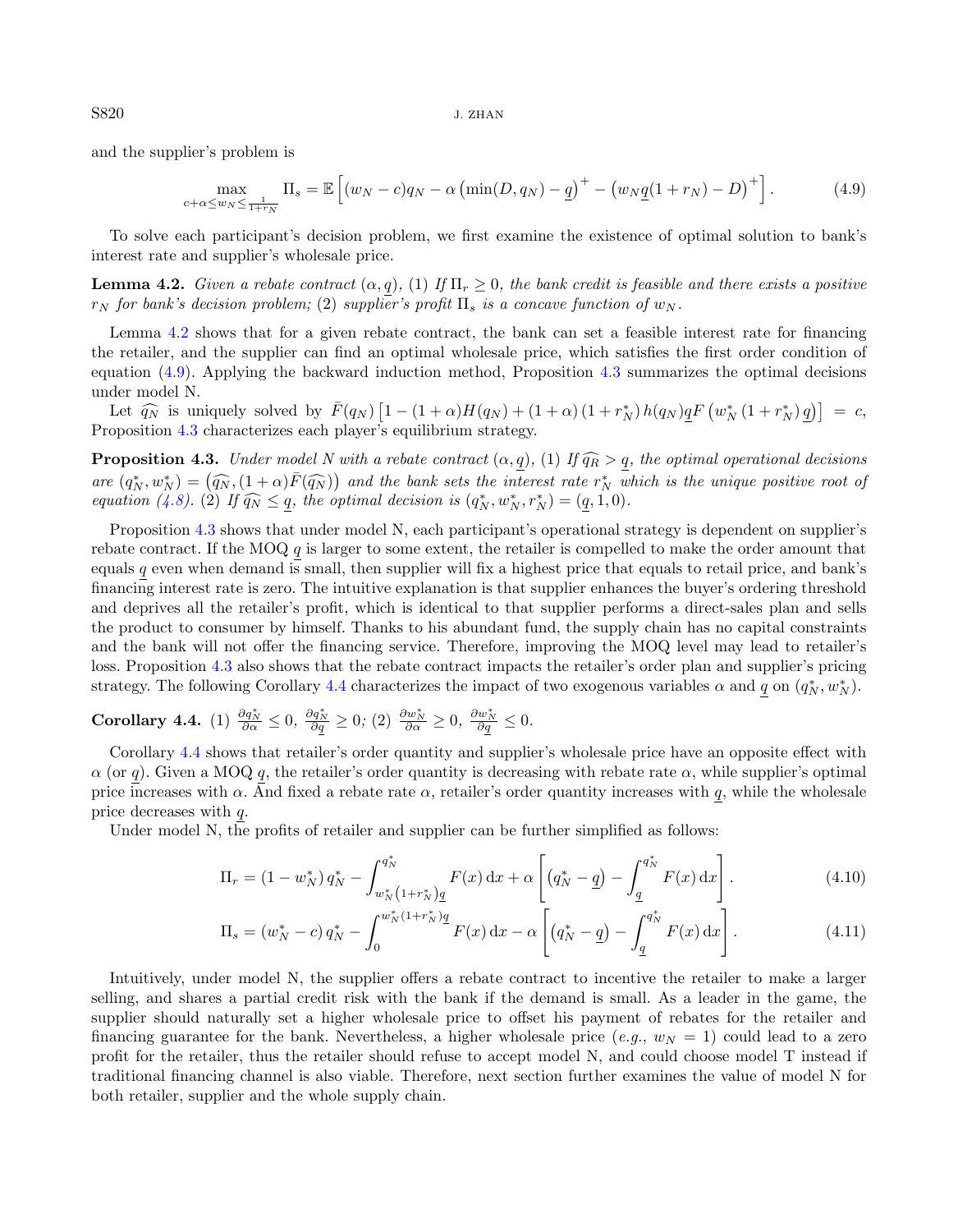and the supplier's problem is

<span id="page-9-3"></span><span id="page-9-2"></span><span id="page-9-0"></span>
$$
\max_{c+\alpha \le w_N \le \frac{1}{1+r_N}} \Pi_s = \mathbb{E}\left[ (w_N - c)q_N - \alpha \left( \min(D, q_N) - \underline{q} \right)^+ - \left( w_N \underline{q} (1+r_N) - D \right)^+ \right]. \tag{4.9}
$$

To solve each participant's decision problem, we first examine the existence of optimal solution to bank's interest rate and supplier's wholesale price.

**Lemma 4.2.** Given a rebate contract  $(\alpha, q)$ , (1) If  $\Pi_r \geq 0$ , the bank credit is feasible and there exists a positive  $r_N$  for bank's decision problem; (2) supplier's profit  $\Pi_s$  is a concave function of  $w_N$ .

Lemma [4.2](#page-9-0) shows that for a given rebate contract, the bank can set a feasible interest rate for financing the retailer, and the supplier can find an optimal wholesale price, which satisfies the first order condition of equation [\(4.9\)](#page-9-1). Applying the backward induction method, Proposition [4.3](#page-9-2) summarizes the optimal decisions under model N.

Let  $\widehat{q_N}$  is uniquely solved by  $\bar{F}(q_N) \left[1 - (1+\alpha)H(q_N) + (1+\alpha)(1+r_N^*)h(q_N)qF\left(w_N^*(1+r_N^*)q\right)\right] = c,$ Proposition [4.3](#page-9-2) characterizes each player's equilibrium strategy.

**Proposition 4.3.** Under model N with a rebate contract  $(\alpha, q)$ , (1) If  $\widehat{q}_R > q$ , the optimal operational decisions are  $(q_N^*, w_N^*) = (\widehat{q_N}, (1+\alpha)\bar{F}(\widehat{q_N}))$  and the bank sets the interest rate  $r_N^*$  which is the unique positive root of equation (1.8) (2) If  $\widehat{q_N} \leq q$  the optimal decision is  $(q^*, w^*, r^*) = (q, 1, 0)$ equation [\(4.8\)](#page-8-1). (2) If  $\widehat{q_N} \leq \underline{q}$ , the optimal decision is  $(q_N^*, w_N^*, r_N^*) = (\underline{q}, 1, 0)$ .

Proposition [4.3](#page-9-2) shows that under model N, each participant's operational strategy is dependent on supplier's rebate contract. If the MOQ  $q$  is larger to some extent, the retailer is compelled to make the order amount that equals q even when demand is small, then supplier will fix a highest price that equals to retail price, and bank's financing interest rate is zero. The intuitive explanation is that supplier enhances the buyer's ordering threshold and deprives all the retailer's profit, which is identical to that supplier performs a direct-sales plan and sells the product to consumer by himself. Thanks to his abundant fund, the supply chain has no capital constraints and the bank will not offer the financing service. Therefore, improving the MOQ level may lead to retailer's loss. Proposition [4.3](#page-9-2) also shows that the rebate contract impacts the retailer's order plan and supplier's pricing strategy. The following Corollary [4.4](#page-9-3) characterizes the impact of two exogenous variables  $\alpha$  and  $\underline{q}$  on  $(q_N^*, w_N^*)$ .

Corollary 4.4. (1)  $\frac{\partial q_N^*}{\partial \alpha} \leq 0$ ,  $\frac{\partial q_N^*}{\partial q} \geq 0$ ; (2)  $\frac{\partial w_N^*}{\partial \alpha} \geq 0$ ,  $\frac{\partial w_N^*}{\partial q} \leq 0$ .

Corollary [4.4](#page-9-3) shows that retailer's order quantity and supplier's wholesale price have an opposite effect with  $\alpha$  (or q). Given a MOQ q, the retailer's order quantity is decreasing with rebate rate  $\alpha$ , while supplier's optimal price increases with  $\alpha$ . And fixed a rebate rate  $\alpha$ , retailer's order quantity increases with q, while the wholesale price decreases with q.

Under model N, the profits of retailer and supplier can be further simplified as follows:

<span id="page-9-5"></span><span id="page-9-4"></span>
$$
\Pi_r = (1 - w_N^*) q_N^* - \int_{w_N^* (1 + r_N^*)}^{q_N^*} F(x) dx + \alpha \left[ (q_N^* - \underline{q}) - \int_{\underline{q}}^{q_N^*} F(x) dx \right]. \tag{4.10}
$$

$$
\Pi_s = (w_N^* - c) q_N^* - \int_0^{w_N^*(1 + r_N^*)\underline{q}} F(x) dx - \alpha \left[ \left( q_N^* - \underline{q} \right) - \int_{\underline{q}}^{q_N^*} F(x) dx \right]. \tag{4.11}
$$

Intuitively, under model N, the supplier offers a rebate contract to incentive the retailer to make a larger selling, and shares a partial credit risk with the bank if the demand is small. As a leader in the game, the supplier should naturally set a higher wholesale price to offset his payment of rebates for the retailer and financing guarantee for the bank. Nevertheless, a higher wholesale price  $(e.g., w_N = 1)$  could lead to a zero profit for the retailer, thus the retailer should refuse to accept model N, and could choose model T instead if traditional financing channel is also viable. Therefore, next section further examines the value of model N for both retailer, supplier and the whole supply chain.

<span id="page-9-1"></span>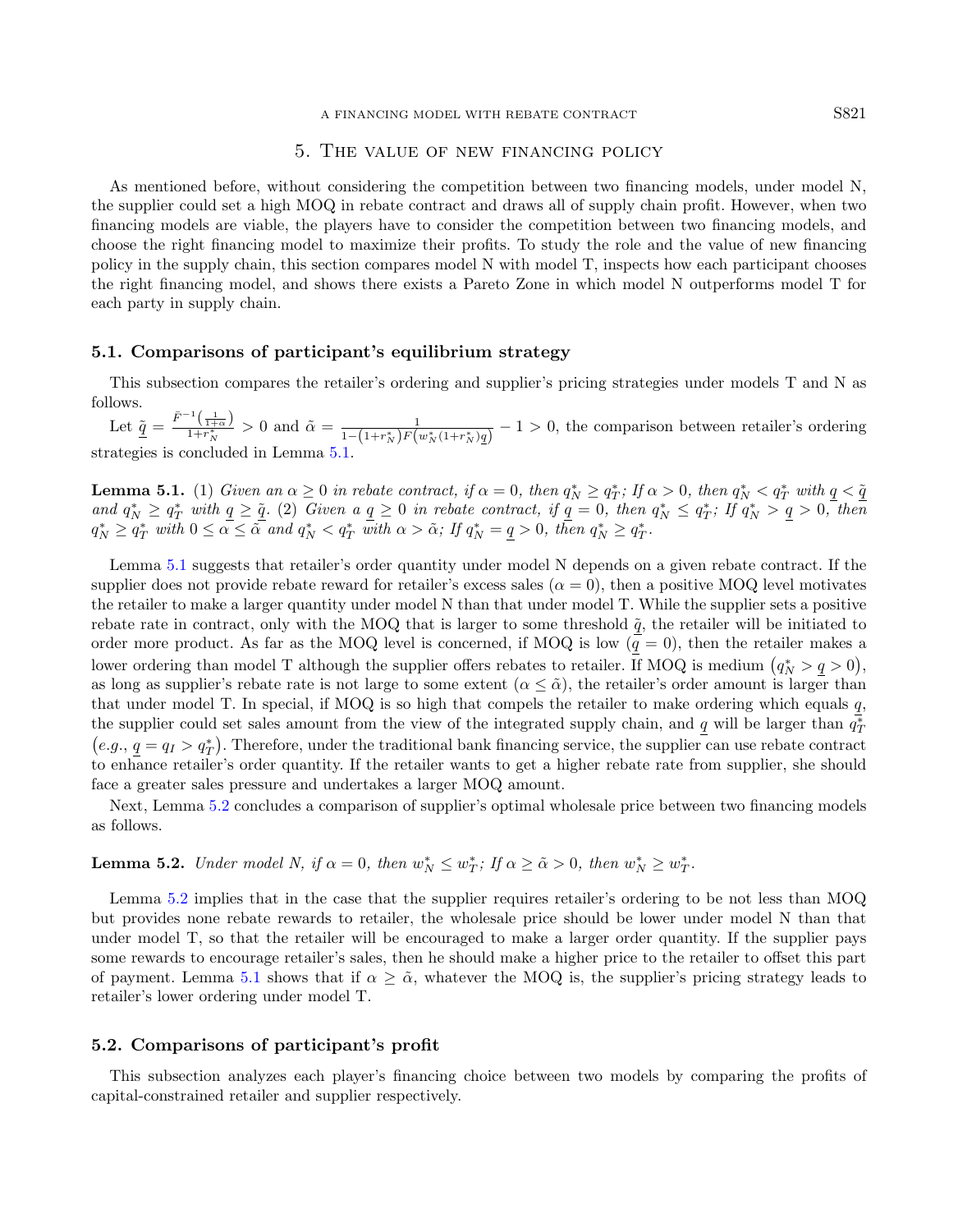#### A FINANCING MODEL WITH REBATE CONTRACT S821

# <span id="page-10-1"></span>5. The value of new financing policy

<span id="page-10-0"></span>As mentioned before, without considering the competition between two financing models, under model N, the supplier could set a high MOQ in rebate contract and draws all of supply chain profit. However, when two financing models are viable, the players have to consider the competition between two financing models, and choose the right financing model to maximize their profits. To study the role and the value of new financing policy in the supply chain, this section compares model N with model T, inspects how each participant chooses the right financing model, and shows there exists a Pareto Zone in which model N outperforms model T for each party in supply chain.

# 5.1. Comparisons of participant's equilibrium strategy

This subsection compares the retailer's ordering and supplier's pricing strategies under models T and N as follows.

Let  $\underline{\tilde{q}} = \frac{\bar{F}^{-1}(\frac{1}{1+\alpha})}{1+r_N^*} > 0$  and  $\tilde{\alpha} = \frac{1}{1-(1+r_N^*)F(w_N^*(1+r_N^*)\underline{q})} - 1 > 0$ , the comparison between retailer's ordering strategies is concluded in Lemma [5.1.](#page-10-1)

**Lemma 5.1.** (1) Given an  $\alpha \ge 0$  in rebate contract, if  $\alpha = 0$ , then  $q_N^* \ge q_T^*$ ; If  $\alpha > 0$ , then  $q_N^* < q_T^*$  with  $q < \tilde{q}$ and  $q_N^* \ge q_T^*$  with  $q \ge \tilde{q}$ . (2) Given a  $q \ge 0$  in rebate contract, if  $q = 0$ , then  $q_N^* \le q_T^*$ ; If  $q_N^* > q \ge 0$ , then  $q_N^* \geq q_T^*$  with  $0 \leq \alpha \leq \tilde{\alpha}$  and  $q_N^* < q_T^*$  with  $\alpha > \tilde{\alpha}$ ; If  $q_N^* = q > 0$ , then  $q_N^* \geq q_T^*$ .

<span id="page-10-2"></span>Lemma [5.1](#page-10-1) suggests that retailer's order quantity under model N depends on a given rebate contract. If the supplier does not provide rebate reward for retailer's excess sales ( $\alpha = 0$ ), then a positive MOQ level motivates the retailer to make a larger quantity under model N than that under model T. While the supplier sets a positive rebate rate in contract, only with the MOQ that is larger to some threshold  $\tilde{q}$ , the retailer will be initiated to order more product. As far as the MOQ level is concerned, if MOQ is low  $(q = 0)$ , then the retailer makes a lower ordering than model T although the supplier offers rebates to retailer. If MOQ is medium  $(q_N^* > q > 0)$ , as long as supplier's rebate rate is not large to some extent  $(\alpha \leq \tilde{\alpha})$ , the retailer's order amount is larger than that under model T. In special, if MOQ is so high that compels the retailer to make ordering which equals  $q$ , the supplier could set sales amount from the view of the integrated supply chain, and  $q$  will be larger than  $q_7^*$  $(e.g., \underline{q} = q_I > q_T^*)$ . Therefore, under the traditional bank financing service, the supplier can use rebate contract to enhance retailer's order quantity. If the retailer wants to get a higher rebate rate from supplier, she should face a greater sales pressure and undertakes a larger MOQ amount.

Next, Lemma [5.2](#page-10-2) concludes a comparison of supplier's optimal wholesale price between two financing models as follows.

# **Lemma 5.2.** Under model N, if  $\alpha = 0$ , then  $w_N^* \leq w_T^*$ ; If  $\alpha \geq \tilde{\alpha} > 0$ , then  $w_N^* \geq w_T^*$ .

Lemma [5.2](#page-10-2) implies that in the case that the supplier requires retailer's ordering to be not less than MOQ but provides none rebate rewards to retailer, the wholesale price should be lower under model N than that under model T, so that the retailer will be encouraged to make a larger order quantity. If the supplier pays some rewards to encourage retailer's sales, then he should make a higher price to the retailer to offset this part of payment. Lemma [5.1](#page-10-1) shows that if  $\alpha \geq \tilde{\alpha}$ , whatever the MOQ is, the supplier's pricing strategy leads to retailer's lower ordering under model T.

# 5.2. Comparisons of participant's profit

This subsection analyzes each player's financing choice between two models by comparing the profits of capital-constrained retailer and supplier respectively.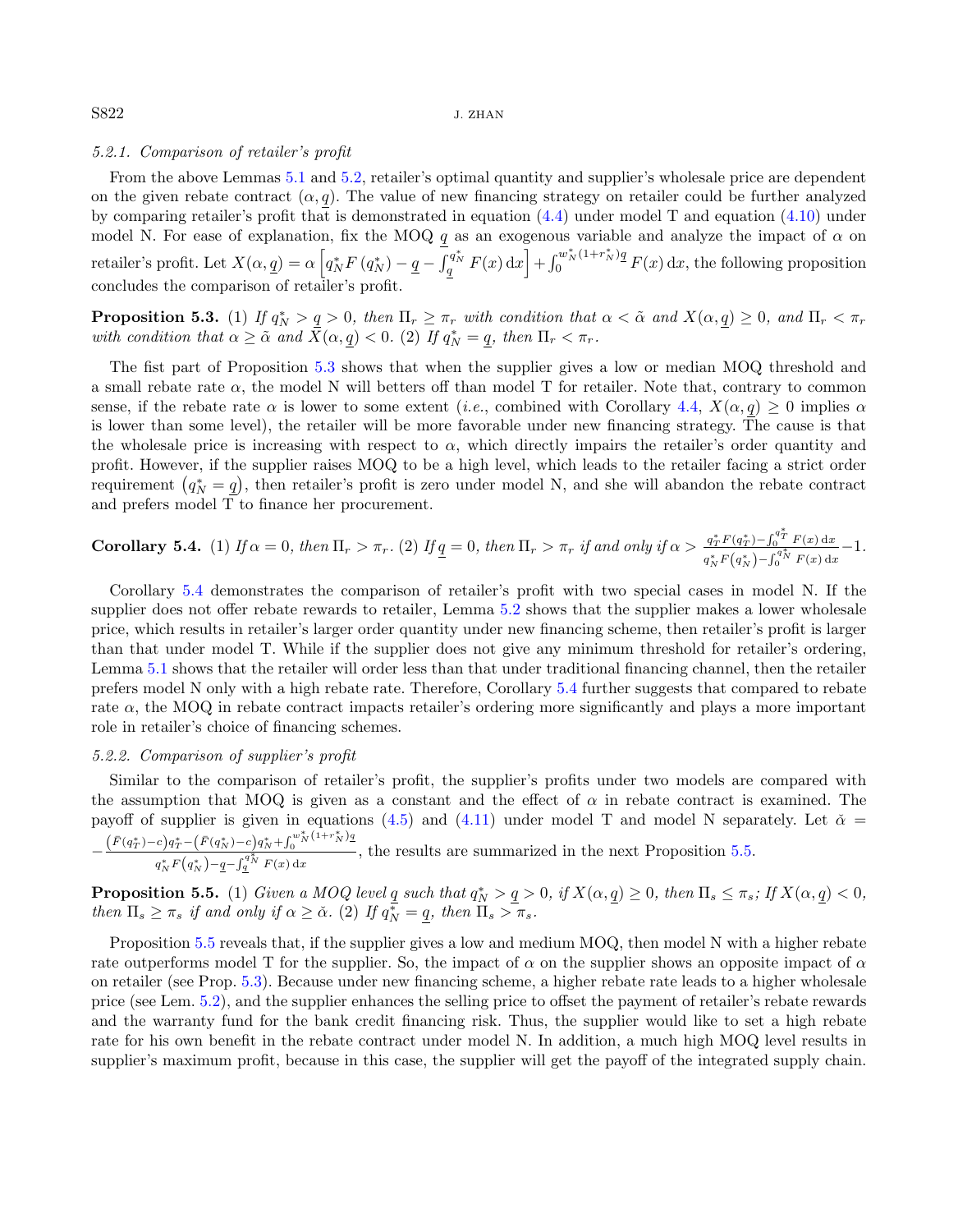### <span id="page-11-0"></span> $S822$  J. ZHAN

# 5.2.1. Comparison of retailer's profit

From the above Lemmas [5.1](#page-10-1) and [5.2,](#page-10-2) retailer's optimal quantity and supplier's wholesale price are dependent on the given rebate contract  $(\alpha, q)$ . The value of new financing strategy on retailer could be further analyzed by comparing retailer's profit that is demonstrated in equation [\(4.4\)](#page-8-2) under model T and equation [\(4.10\)](#page-9-4) under model N. For ease of explanation, fix the MOQ  $q$  as an exogenous variable and analyze the impact of  $\alpha$  on retailer's profit. Let  $X(\alpha, \underline{q}) = \alpha \left[ q_N^* F(q_N^*) - \underline{q} - \int_q^{q_N^*} F(x) dx \right] + \int_0^{w_N^*(1+r_N^*)^*} F(x) dx$ , the following proposition concludes the comparison of retailer's profit.

**Proposition 5.3.** (1) If  $q_N^* > q > 0$ , then  $\Pi_r \geq \pi_r$  with condition that  $\alpha < \tilde{\alpha}$  and  $X(\alpha, q) \geq 0$ , and  $\Pi_r < \pi_r$ with condition that  $\alpha \geq \tilde{\alpha}$  and  $\bar{X}(\alpha, \underline{q}) < 0$ . (2) If  $q_N^* = \underline{q}$ , then  $\Pi_r < \pi_r$ .

The fist part of Proposition [5.3](#page-11-0) shows that when the supplier gives a low or median MOQ threshold and a small rebate rate  $\alpha$ , the model N will betters off than model T for retailer. Note that, contrary to common sense, if the rebate rate  $\alpha$  is lower to some extent (*i.e.*, combined with Corollary [4.4,](#page-9-3)  $X(\alpha, q) \geq 0$  implies  $\alpha$ is lower than some level), the retailer will be more favorable under new financing strategy. The cause is that the wholesale price is increasing with respect to  $\alpha$ , which directly impairs the retailer's order quantity and profit. However, if the supplier raises MOQ to be a high level, which leads to the retailer facing a strict order requirement  $(q_N^* = q)$ , then retailer's profit is zero under model N, and she will abandon the rebate contract and prefers model T to finance her procurement.

<span id="page-11-1"></span>Corollary 5.4. (1) If 
$$
\alpha = 0
$$
, then  $\Pi_r > \pi_r$ . (2) If  $\underline{q} = 0$ , then  $\Pi_r > \pi_r$  if and only if  $\alpha > \frac{q_T^* F(q_T^*) - \int_0^{q_T^*} F(x) dx}{q_N^* F(q_N^*) - \int_0^{q_N^*} F(x) dx} - 1$ .

<span id="page-11-2"></span>Corollary [5.4](#page-11-1) demonstrates the comparison of retailer's profit with two special cases in model N. If the supplier does not offer rebate rewards to retailer, Lemma [5.2](#page-10-2) shows that the supplier makes a lower wholesale price, which results in retailer's larger order quantity under new financing scheme, then retailer's profit is larger than that under model T. While if the supplier does not give any minimum threshold for retailer's ordering, Lemma [5.1](#page-10-1) shows that the retailer will order less than that under traditional financing channel, then the retailer prefers model N only with a high rebate rate. Therefore, Corollary [5.4](#page-11-1) further suggests that compared to rebate rate  $\alpha$ , the MOQ in rebate contract impacts retailer's ordering more significantly and plays a more important role in retailer's choice of financing schemes.

### 5.2.2. Comparison of supplier's profit

Similar to the comparison of retailer's profit, the supplier's profits under two models are compared with the assumption that MOQ is given as a constant and the effect of  $\alpha$  in rebate contract is examined. The payoff of supplier is given in equations [\(4.5\)](#page-8-3) and [\(4.11\)](#page-9-5) under model T and model N separately. Let  $\check{\alpha}$  =  $-\frac{\left(\bar{F}(q_T^*)-c\right)q_T^*-\left(\bar{F}(q_N^*)-c\right)q_N^*+\int_0^{w_N^*}\left(1+r_N^*\right)q_N^*}{\left(\frac{c_N^*}{c_N^*}+\int_0^{w_N^*}\left(1+r_N^*\right)q_N^*}\right)}$ 

 $\frac{q^*_N F(q^*_N) - q - \int_q^{q^*_N} F(x) dx}{q^*_N F(q^*_N) - q - \int_q^{q^*_N} F(x) dx}$ , the results are summarized in the next Proposition [5.5.](#page-11-2)

**Proposition 5.5.** (1) Given a MOQ level  $\underline{q}$  such that  $q_N^* > \underline{q} > 0$ , if  $X(\alpha, \underline{q}) \ge 0$ , then  $\Pi_s \le \pi_s$ ; If  $X(\alpha, \underline{q}) < 0$ , then  $\Pi_s \geq \pi_s$  if and only if  $\alpha \geq \check{\alpha}$ . (2) If  $q_N^* = q$ , then  $\Pi_s > \pi_s$ .

Proposition [5.5](#page-11-2) reveals that, if the supplier gives a low and medium MOQ, then model N with a higher rebate rate outperforms model T for the supplier. So, the impact of  $\alpha$  on the supplier shows an opposite impact of  $\alpha$ on retailer (see Prop. [5.3\)](#page-11-0). Because under new financing scheme, a higher rebate rate leads to a higher wholesale price (see Lem. [5.2\)](#page-10-2), and the supplier enhances the selling price to offset the payment of retailer's rebate rewards and the warranty fund for the bank credit financing risk. Thus, the supplier would like to set a high rebate rate for his own benefit in the rebate contract under model N. In addition, a much high MOQ level results in supplier's maximum profit, because in this case, the supplier will get the payoff of the integrated supply chain.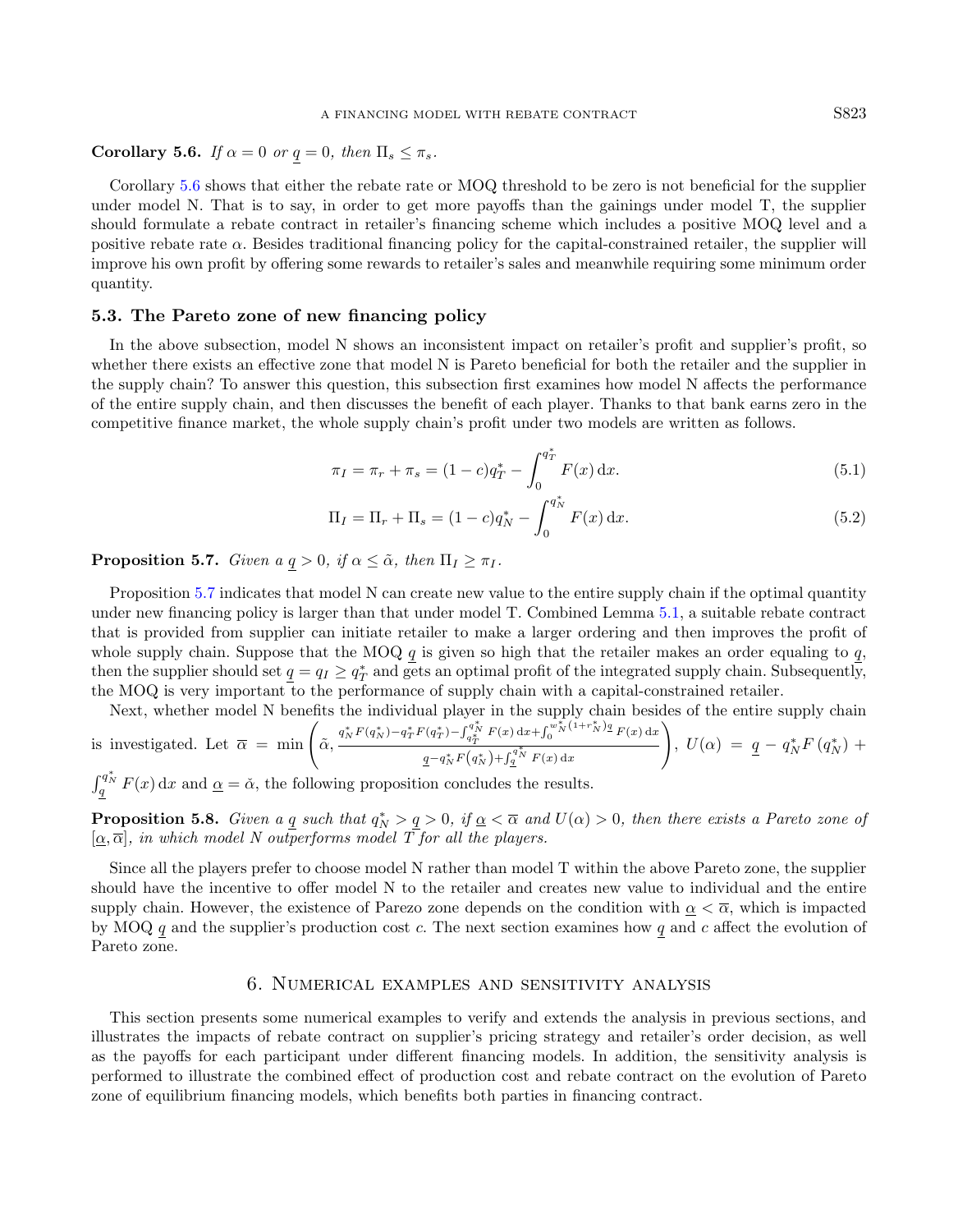<span id="page-12-1"></span>Corollary 5.6. If  $\alpha = 0$  or  $q = 0$ , then  $\Pi_s \leq \pi_s$ .

Corollary [5.6](#page-12-1) shows that either the rebate rate or MOQ threshold to be zero is not beneficial for the supplier under model N. That is to say, in order to get more payoffs than the gainings under model T, the supplier should formulate a rebate contract in retailer's financing scheme which includes a positive MOQ level and a positive rebate rate  $\alpha$ . Besides traditional financing policy for the capital-constrained retailer, the supplier will improve his own profit by offering some rewards to retailer's sales and meanwhile requiring some minimum order quantity.

# 5.3. The Pareto zone of new financing policy

In the above subsection, model N shows an inconsistent impact on retailer's profit and supplier's profit, so whether there exists an effective zone that model N is Pareto beneficial for both the retailer and the supplier in the supply chain? To answer this question, this subsection first examines how model N affects the performance of the entire supply chain, and then discusses the benefit of each player. Thanks to that bank earns zero in the competitive finance market, the whole supply chain's profit under two models are written as follows.

<span id="page-12-4"></span><span id="page-12-3"></span>
$$
\pi_I = \pi_r + \pi_s = (1 - c)q_T^* - \int_0^{q_T^*} F(x) \, dx.
$$
\n(5.1)

<span id="page-12-5"></span>
$$
\Pi_I = \Pi_r + \Pi_s = (1 - c)q_N^* - \int_0^{q_N^*} F(x) \, dx.
$$
\n(5.2)

<span id="page-12-2"></span>**Proposition 5.7.** Given  $a \neq 0$ , if  $\alpha \leq \tilde{\alpha}$ , then  $\Pi_I \geq \pi_I$ .

Proposition [5.7](#page-12-2) indicates that model N can create new value to the entire supply chain if the optimal quantity under new financing policy is larger than that under model T. Combined Lemma [5.1,](#page-10-1) a suitable rebate contract that is provided from supplier can initiate retailer to make a larger ordering and then improves the profit of whole supply chain. Suppose that the MOQ  $q$  is given so high that the retailer makes an order equaling to  $q$ , then the supplier should set  $q = q_I \ge q_T^*$  and gets an optimal profit of the integrated supply chain. Subsequently, the MOQ is very important to the performance of supply chain with a capital-constrained retailer.

Next, whether model N benefits the individual player in the supply chain besides of the entire supply chain  $\int q_N^*$  $\int_0^w N^{*}(1+r_N^*)g$ 

is investigated. Let 
$$
\overline{\alpha} = \min \left( \tilde{\alpha}, \frac{q_N^* F(q_N^*) - q_T^* F(q_T^*) - \int_{q_T^*}^{q_N^*} F(x) dx + \int_0^{w_N^* (1 + r_N^*)^2} F(x) dx}{\frac{q - q_N^* F(q_N^*) + \int_q^{q_N^*} F(x) dx}{\frac{q}{q - q_N^* F(q_N^*) + \int_q^{q_N^*} F(x) dx}{\frac{q}{q - q_N^* F(q_N^*) + \int_q^{q_N^*} F(x) dx}{\frac{q}{q - q_N^* F(q_N^*) + \int_q^{q_N^*} F(x) dx}{\frac{q}{q - q_N^* F(q_N^*) + \int_q^{q_N^*} F(x) dx}{\frac{q}{q - q_N^* F(q_N^*) + \int_q^{q_N^*} F(x) dx}{\frac{q}{q - q_N^* F(q_N^*) + \int_q^{q_N^*} F(x) dx}{\frac{q}{q - q_N^* F(q_N^*) + \int_q^{q_N^*} F(x) dx}{\frac{q}{q - q_N^* F(q_N^*) + \int_q^{q_N^*} F(x) dx}{\frac{q}{q - q_N^* F(q_N^*) + \int_q^{q_N^*} F(x) dx}{\frac{q}{q - q_N^* F(q_N^*) + \int_q^{q_N^*} F(x) dx}{\frac{q}{q - q_N^* F(q_N^*) + \int_q^{q_N^*} F(x) dx}{\frac{q}{q - q_N^* F(q_N^*) + \int_q^{q_N^*} F(x) dx}{\frac{q}{q - q_N^* F(q_N^*) + \int_q^{q_N^*} F(x) dx}{\frac{q}{q - q_N^* F(q_N^*) + \int_q^{q_N^*} F(x) dx}{\frac{q}{q - q_N^* F(q_N^*) + \int_q^{q_N^*} F(x) dx}{\frac{q}{q - q_N^* F(q_N^*) + \int_q^{q_N^*} F(x) dx}{\frac{q}{q - q_N^* F(q_N^*) + \int_q^{q_N^*} F(x) dx}{\frac{q}{q - q_N^* F(q_N^*) + \int_q^{q_N^*} F(x) dx}{\frac{q}{q - q_N^* F(q_N^*) + \int_q^{q_N^*} F(x) dx}{\frac{q}{q - q_N^* F(q_N^*) + \int_q^{q_N^*} F(x) dx}{\frac{q}{q - q_N^* F(q_N^*) + \int_q^{q_N^*}
$$

 $\int_{q}^{q_N} F(x) dx$  and  $\underline{\alpha} = \check{\alpha}$ , the following proposition concludes the results.

**Proposition 5.8.** Given a  $\underline{q}$  such that  $q_N^* > \underline{q} > 0$ , if  $\underline{\alpha} < \overline{\alpha}$  and  $U(\alpha) > 0$ , then there exists a Pareto zone of  $[\alpha, \overline{\alpha}]$ , in which model N outperforms model T for all the players.

Since all the players prefer to choose model N rather than model T within the above Pareto zone, the supplier should have the incentive to offer model N to the retailer and creates new value to individual and the entire supply chain. However, the existence of Parezo zone depends on the condition with  $\alpha < \overline{\alpha}$ , which is impacted by MOQ  $q$  and the supplier's production cost  $c$ . The next section examines how  $q$  and  $c$  affect the evolution of Pareto zone.

# 6. Numerical examples and sensitivity analysis

<span id="page-12-0"></span>This section presents some numerical examples to verify and extends the analysis in previous sections, and illustrates the impacts of rebate contract on supplier's pricing strategy and retailer's order decision, as well as the payoffs for each participant under different financing models. In addition, the sensitivity analysis is performed to illustrate the combined effect of production cost and rebate contract on the evolution of Pareto zone of equilibrium financing models, which benefits both parties in financing contract.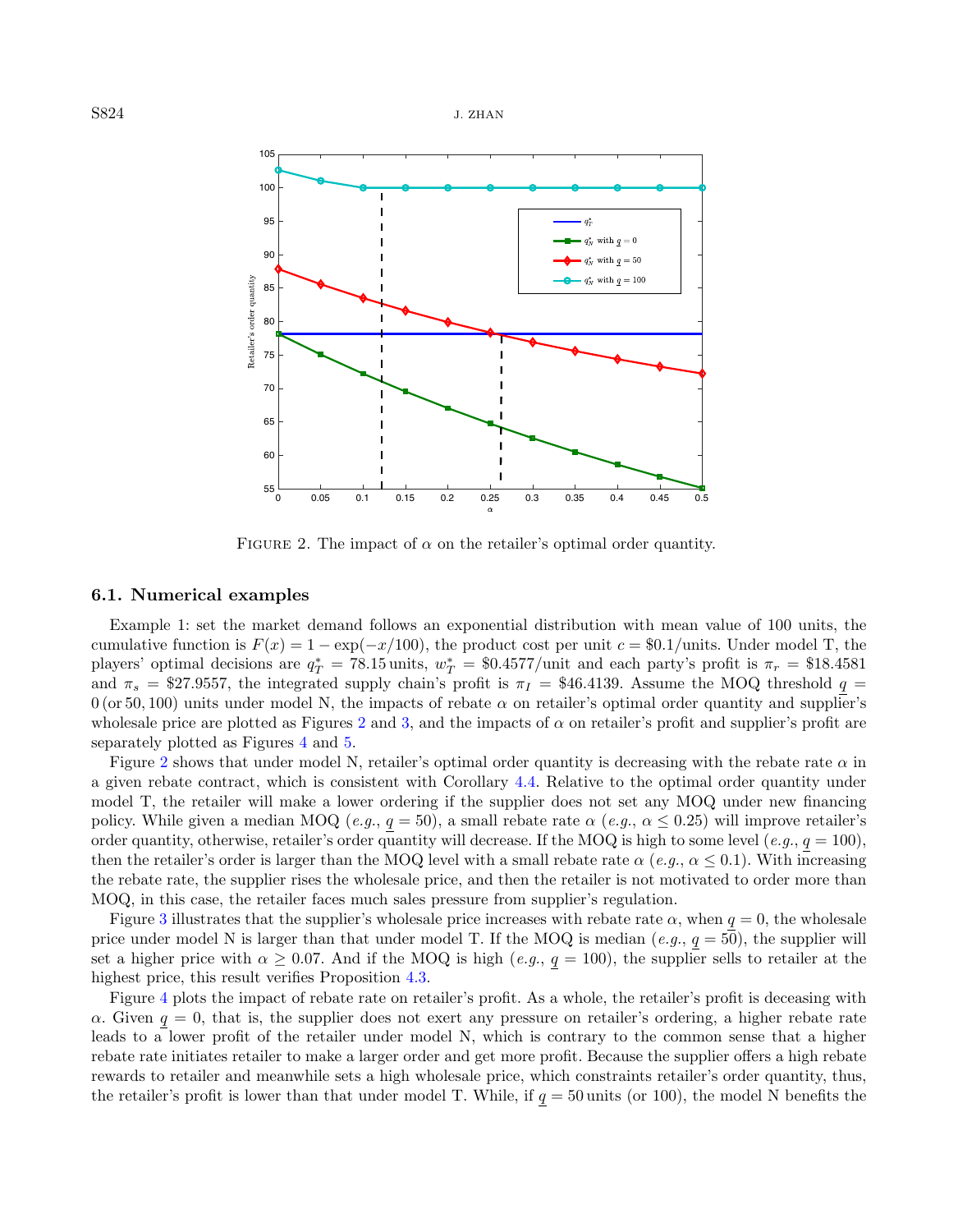<span id="page-13-0"></span>

FIGURE 2. The impact of  $\alpha$  on the retailer's optimal order quantity.

# 6.1. Numerical examples

Example 1: set the market demand follows an exponential distribution with mean value of 100 units, the cumulative function is  $F(x) = 1 - \exp(-x/100)$ , the product cost per unit  $c = $0.1/\text{units}$ . Under model T, the players' optimal decisions are  $q_T^* = 78.15$  units,  $w_T^* = $0.4577/\text{unit}$  and each party's profit is  $\pi_r = $18.4581$ and  $\pi_s$  = \$27.9557, the integrated supply chain's profit is  $\pi_I$  = \$46.4139. Assume the MOQ threshold  $q =$  $0$  (or 50, 100) units under model N, the impacts of rebate  $\alpha$  on retailer's optimal order quantity and supplier's wholesale price are plotted as Figures [2](#page-13-0) and [3,](#page-14-0) and the impacts of  $\alpha$  on retailer's profit and supplier's profit are separately plotted as Figures [4](#page-14-1) and [5.](#page-15-0)

Figure [2](#page-13-0) shows that under model N, retailer's optimal order quantity is decreasing with the rebate rate  $\alpha$  in a given rebate contract, which is consistent with Corollary [4.4.](#page-9-3) Relative to the optimal order quantity under model T, the retailer will make a lower ordering if the supplier does not set any MOQ under new financing policy. While given a median MOQ (e.g.,  $q = 50$ ), a small rebate rate  $\alpha$  (e.g.,  $\alpha \leq 0.25$ ) will improve retailer's order quantity, otherwise, retailer's order quantity will decrease. If the MOQ is high to some level (e.g.,  $q = 100$ ), then the retailer's order is larger than the MOQ level with a small rebate rate  $\alpha$  (e.g.,  $\alpha \leq 0.1$ ). With increasing the rebate rate, the supplier rises the wholesale price, and then the retailer is not motivated to order more than MOQ, in this case, the retailer faces much sales pressure from supplier's regulation.

Figure [3](#page-14-0) illustrates that the supplier's wholesale price increases with rebate rate  $\alpha$ , when  $q = 0$ , the wholesale price under model N is larger than that under model T. If the MOQ is median (e.g.,  $q = 50$ ), the supplier will set a higher price with  $\alpha \geq 0.07$ . And if the MOQ is high (e.g.,  $q = 100$ ), the supplier sells to retailer at the highest price, this result verifies Proposition [4.3.](#page-9-2)

Figure [4](#page-14-1) plots the impact of rebate rate on retailer's profit. As a whole, the retailer's profit is deceasing with  $\alpha$ . Given  $q = 0$ , that is, the supplier does not exert any pressure on retailer's ordering, a higher rebate rate leads to a lower profit of the retailer under model N, which is contrary to the common sense that a higher rebate rate initiates retailer to make a larger order and get more profit. Because the supplier offers a high rebate rewards to retailer and meanwhile sets a high wholesale price, which constraints retailer's order quantity, thus, the retailer's profit is lower than that under model T. While, if  $q = 50$  units (or 100), the model N benefits the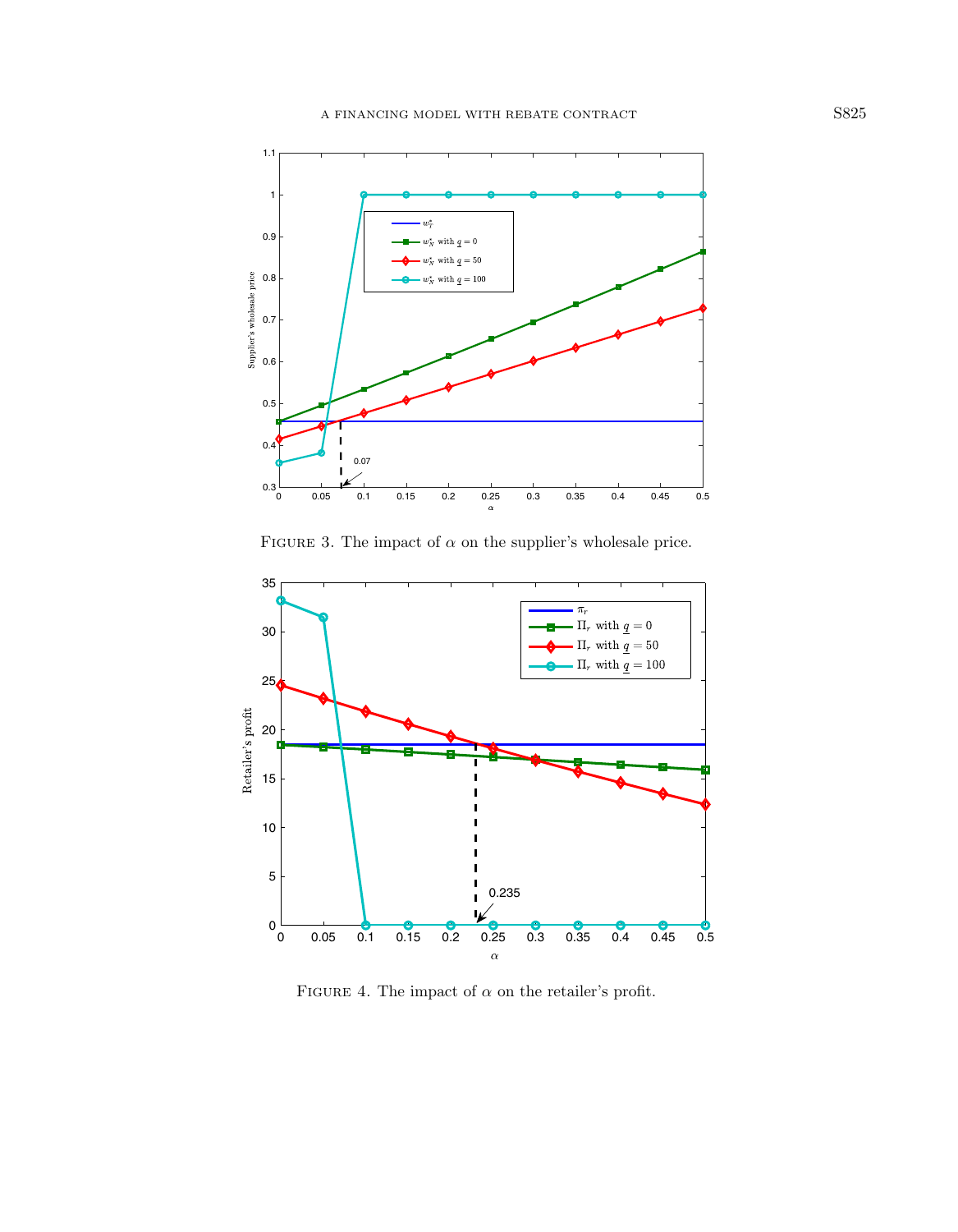<span id="page-14-0"></span>

FIGURE 3. The impact of  $\alpha$  on the supplier's wholesale price.



<span id="page-14-1"></span>FIGURE 4. The impact of  $\alpha$  on the retailer's profit.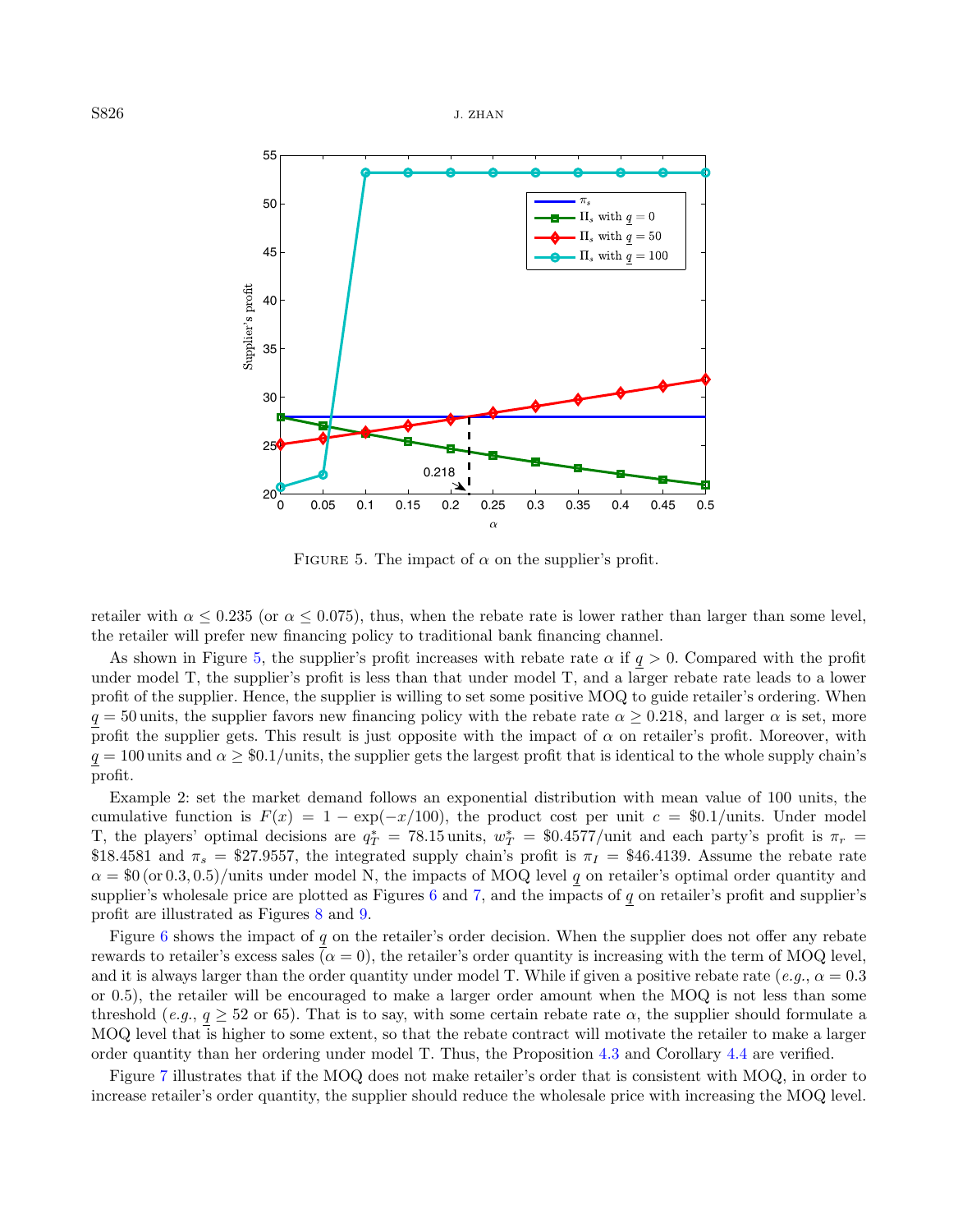

<span id="page-15-0"></span>FIGURE 5. The impact of  $\alpha$  on the supplier's profit.

retailer with  $\alpha \leq 0.235$  (or  $\alpha \leq 0.075$ ), thus, when the rebate rate is lower rather than larger than some level, the retailer will prefer new financing policy to traditional bank financing channel.

As shown in Figure [5,](#page-15-0) the supplier's profit increases with rebate rate  $\alpha$  if  $q > 0$ . Compared with the profit under model T, the supplier's profit is less than that under model T, and a larger rebate rate leads to a lower profit of the supplier. Hence, the supplier is willing to set some positive MOQ to guide retailer's ordering. When  $q = 50$  units, the supplier favors new financing policy with the rebate rate  $\alpha \geq 0.218$ , and larger  $\alpha$  is set, more profit the supplier gets. This result is just opposite with the impact of  $\alpha$  on retailer's profit. Moreover, with  $q = 100$  units and  $\alpha \geq 0.1$ /units, the supplier gets the largest profit that is identical to the whole supply chain's profit.

Example 2: set the market demand follows an exponential distribution with mean value of 100 units, the cumulative function is  $F(x) = 1 - \exp(-x/100)$ , the product cost per unit  $c = $0.1/\text{units}$ . Under model T, the players' optimal decisions are  $q_T^* = 78.15 \text{ units}$ ,  $w_T^* = \$0.4577/\text{unit}$  and each party's profit is  $\pi_r =$ \$18.4581 and  $\pi_s =$  \$27.9557, the integrated supply chain's profit is  $\pi_l =$  \$46.4139. Assume the rebate rate  $\alpha = 0$  (or 0.3, 0.5)/units under model N, the impacts of MOQ level q on retailer's optimal order quantity and supplier's wholesale price are plotted as Figures  $6$  and  $7$ , and the impacts of  $q$  on retailer's profit and supplier's profit are illustrated as Figures [8](#page-17-0) and [9.](#page-18-0)

Figure [6](#page-16-0) shows the impact of q on the retailer's order decision. When the supplier does not offer any rebate rewards to retailer's excess sales  $(\alpha = 0)$ , the retailer's order quantity is increasing with the term of MOQ level, and it is always larger than the order quantity under model T. While if given a positive rebate rate (e.g.,  $\alpha = 0.3$ ) or 0.5), the retailer will be encouraged to make a larger order amount when the MOQ is not less than some threshold (e.g.,  $q \ge 52$  or 65). That is to say, with some certain rebate rate  $\alpha$ , the supplier should formulate a MOQ level that is higher to some extent, so that the rebate contract will motivate the retailer to make a larger order quantity than her ordering under model T. Thus, the Proposition [4.3](#page-9-2) and Corollary [4.4](#page-9-3) are verified.

Figure [7](#page-16-1) illustrates that if the MOQ does not make retailer's order that is consistent with MOQ, in order to increase retailer's order quantity, the supplier should reduce the wholesale price with increasing the MOQ level.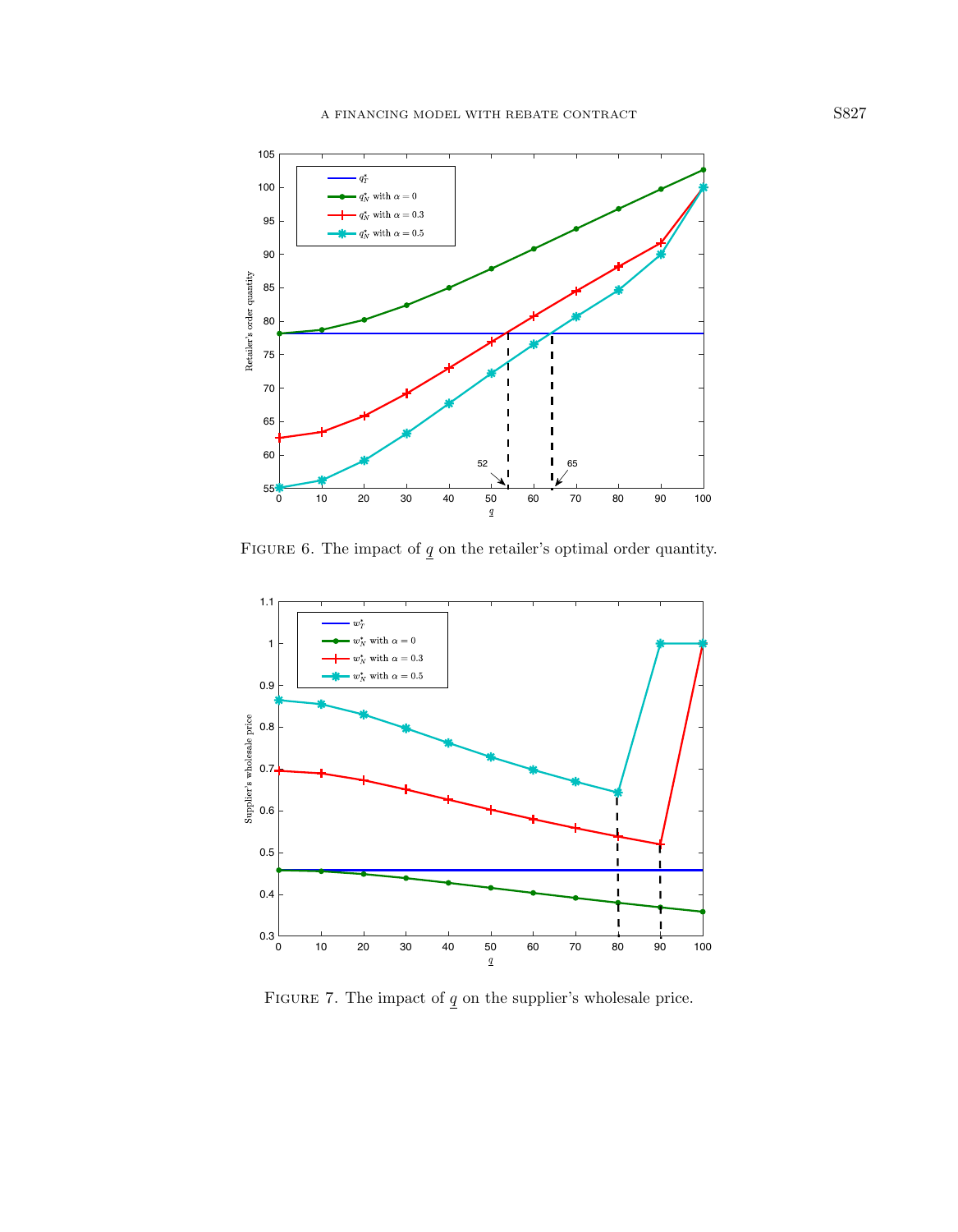<span id="page-16-0"></span>

FIGURE 6. The impact of  $q$  on the retailer's optimal order quantity.

<span id="page-16-1"></span>

FIGURE 7. The impact of  $\underline{q}$  on the supplier's wholesale price.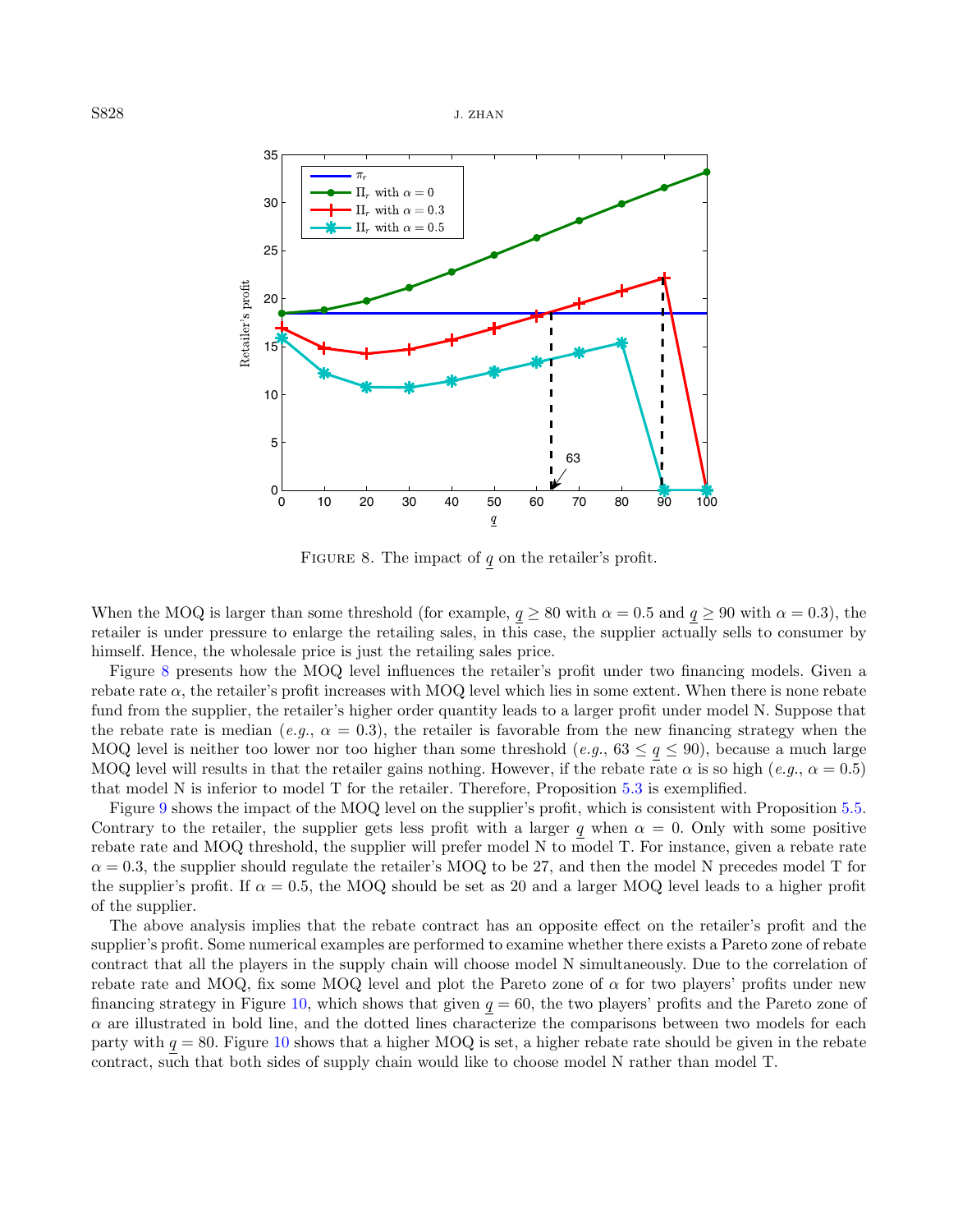$S828$  J. ZHAN



<span id="page-17-0"></span>FIGURE 8. The impact of  $q$  on the retailer's profit.

When the MOQ is larger than some threshold (for example,  $q \ge 80$  with  $\alpha = 0.5$  and  $q \ge 90$  with  $\alpha = 0.3$ ), the retailer is under pressure to enlarge the retailing sales, in this case, the supplier actually sells to consumer by himself. Hence, the wholesale price is just the retailing sales price.

Figure [8](#page-17-0) presents how the MOQ level influences the retailer's profit under two financing models. Given a rebate rate  $\alpha$ , the retailer's profit increases with MOQ level which lies in some extent. When there is none rebate fund from the supplier, the retailer's higher order quantity leads to a larger profit under model N. Suppose that the rebate rate is median (e.g.,  $\alpha = 0.3$ ), the retailer is favorable from the new financing strategy when the MOQ level is neither too lower nor too higher than some threshold (e.g.,  $63 \le q \le 90$ ), because a much large MOQ level will results in that the retailer gains nothing. However, if the rebate rate  $\alpha$  is so high (e.g.,  $\alpha = 0.5$ ) that model N is inferior to model T for the retailer. Therefore, Proposition [5.3](#page-11-0) is exemplified.

Figure [9](#page-18-0) shows the impact of the MOQ level on the supplier's profit, which is consistent with Proposition [5.5.](#page-11-2) Contrary to the retailer, the supplier gets less profit with a larger q when  $\alpha = 0$ . Only with some positive rebate rate and MOQ threshold, the supplier will prefer model N to model T. For instance, given a rebate rate  $\alpha = 0.3$ , the supplier should regulate the retailer's MOQ to be 27, and then the model N precedes model T for the supplier's profit. If  $\alpha = 0.5$ , the MOQ should be set as 20 and a larger MOQ level leads to a higher profit of the supplier.

The above analysis implies that the rebate contract has an opposite effect on the retailer's profit and the supplier's profit. Some numerical examples are performed to examine whether there exists a Pareto zone of rebate contract that all the players in the supply chain will choose model N simultaneously. Due to the correlation of rebate rate and MOQ, fix some MOQ level and plot the Pareto zone of  $\alpha$  for two players' profits under new financing strategy in Figure [10,](#page-18-1) which shows that given  $q = 60$ , the two players' profits and the Pareto zone of  $\alpha$  are illustrated in bold line, and the dotted lines characterize the comparisons between two models for each party with  $q = 80$ . Figure [10](#page-18-1) shows that a higher MOQ is set, a higher rebate rate should be given in the rebate contract, such that both sides of supply chain would like to choose model N rather than model T.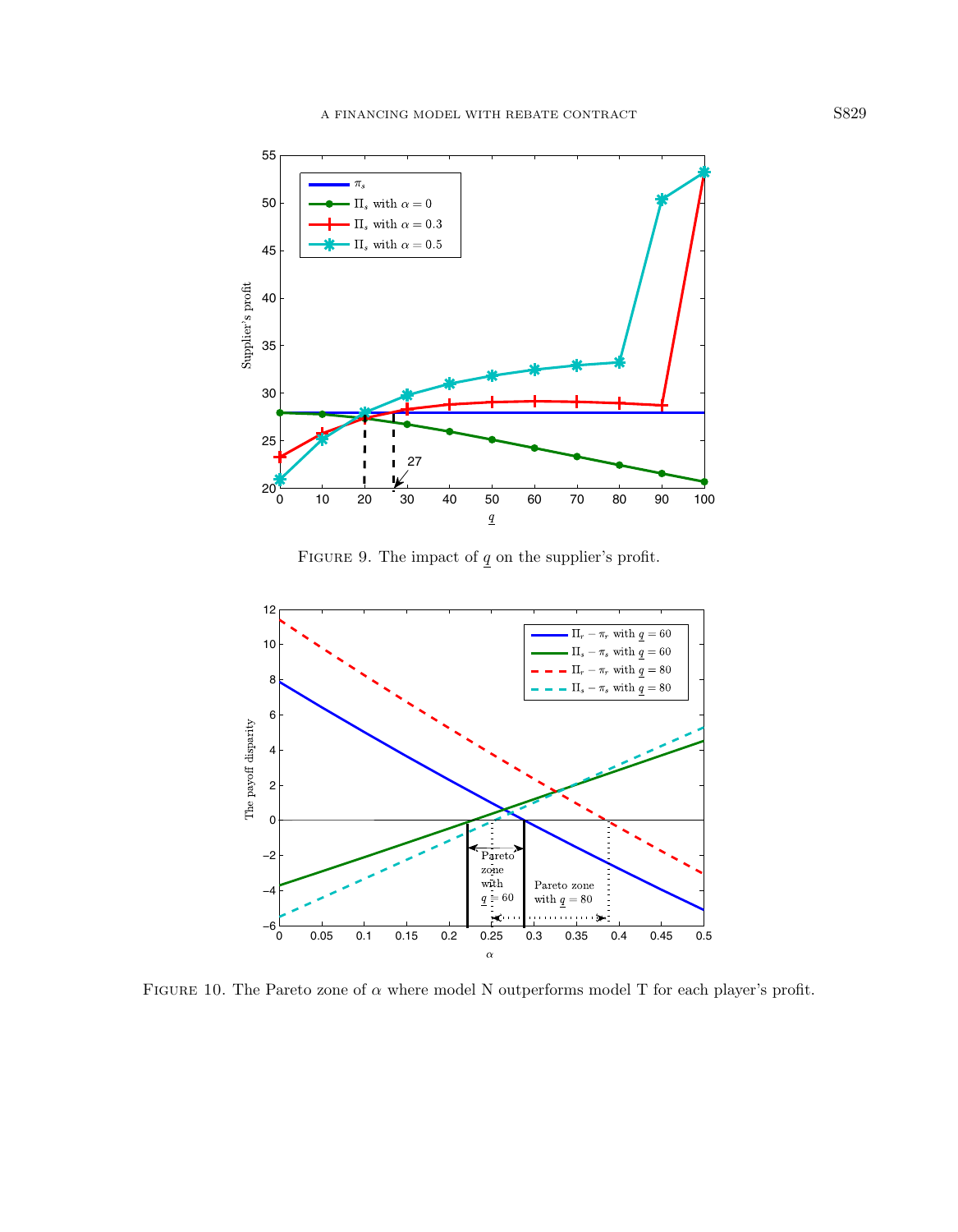

<span id="page-18-0"></span>FIGURE 9. The impact of  $\underline{q}$  on the supplier's profit.

<span id="page-18-1"></span>

FIGURE 10. The Pareto zone of  $\alpha$  where model N outperforms model T for each player's profit.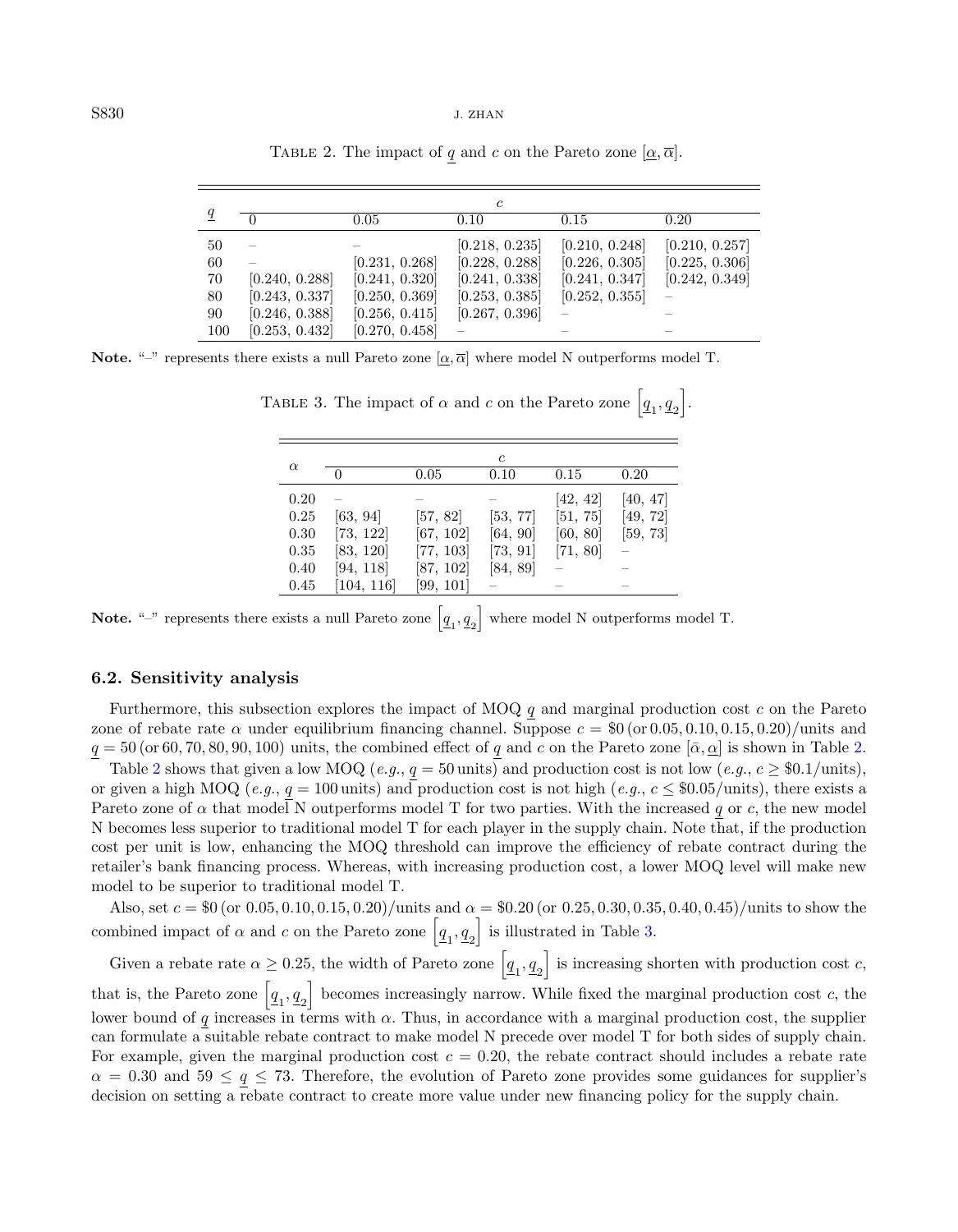### $S830$  J. ZHAN

|                | c              |                |                |                |                |  |  |  |
|----------------|----------------|----------------|----------------|----------------|----------------|--|--|--|
| $\overline{q}$ |                | 0.05           | 0.10           | 0.15           | 0.20           |  |  |  |
| 50             |                |                | [0.218, 0.235] | [0.210, 0.248] | [0.210, 0.257] |  |  |  |
| 60             |                | [0.231, 0.268] | [0.228, 0.288] | [0.226, 0.305] | [0.225, 0.306] |  |  |  |
| 70             | [0.240, 0.288] | [0.241, 0.320] | [0.241, 0.338] | [0.241, 0.347] | [0.242, 0.349] |  |  |  |
| 80             | [0.243, 0.337] | [0.250, 0.369] | [0.253, 0.385] | [0.252, 0.355] |                |  |  |  |
| 90             | [0.246, 0.388] | [0.256, 0.415] | [0.267, 0.396] |                |                |  |  |  |
| 100            | [0.253, 0.432] | [0.270, 0.458] |                |                |                |  |  |  |

<span id="page-19-1"></span><span id="page-19-0"></span>TABLE 2. The impact of q and c on the Pareto zone  $[\alpha, \overline{\alpha}]$ .

**Note.** "–" represents there exists a null Pareto zone  $\alpha, \overline{\alpha}$  where model N outperforms model T.

| $\alpha$ | $\mathfrak c$ |           |          |          |          |  |  |
|----------|---------------|-----------|----------|----------|----------|--|--|
|          |               | 0.05      | 0.10     | 0.15     | 0.20     |  |  |
| 0.20     |               |           |          | [42, 42] | [40, 47] |  |  |
| 0.25     | [63, 94]      | [57, 82]  | [53, 77] | [51, 75] | [49, 72] |  |  |
| 0.30     | [73, 122]     | [67, 102] | [64, 90] | [60, 80] | [59, 73] |  |  |
| 0.35     | [83, 120]     | [77, 103] | [73, 91] | [71, 80] |          |  |  |
| 0.40     | [94, 118]     | [87, 102] | [84, 89] |          |          |  |  |
| 0.45     | [104, 116]    | [99, 101] |          |          |          |  |  |
|          |               |           |          |          |          |  |  |

TABLE 3. The impact of  $\alpha$  and  $c$  on the Pareto zone  $\left[\underline{q}_1, \underline{q}_2\right]$ .

Note. "-" represents there exists a null Pareto zone  $\left[ \underline{q}_1, \underline{q}_2 \right]$ where model N outperforms model T.

# 6.2. Sensitivity analysis

Furthermore, this subsection explores the impact of MOQ  $q$  and marginal production cost  $c$  on the Pareto zone of rebate rate  $\alpha$  under equilibrium financing channel. Suppose  $c = $0$  (or 0.05, 0.10, 0.15, 0.20)/units and  $q = 50$  (or 60, 70, 80, 90, 100) units, the combined effect of q and c on the Pareto zone  $[\bar{\alpha}, \underline{\alpha}]$  is shown in Table [2.](#page-19-0)

Table [2](#page-19-0) shows that given a low MOQ (e.g.,  $q = 50$  units) and production cost is not low (e.g.,  $c \geq 0.1/\text{units}$ ). or given a high MOQ (e.g.,  $q = 100$  units) and production cost is not high (e.g.,  $c \leq 0.05/\text{units}$ ), there exists a Pareto zone of  $\alpha$  that model N outperforms model T for two parties. With the increased q or c, the new model N becomes less superior to traditional model T for each player in the supply chain. Note that, if the production cost per unit is low, enhancing the MOQ threshold can improve the efficiency of rebate contract during the retailer's bank financing process. Whereas, with increasing production cost, a lower MOQ level will make new model to be superior to traditional model T.

Also, set  $c = $0$  (or  $0.05, 0.10, 0.15, 0.20$ )/units and  $\alpha = $0.20$  (or  $0.25, 0.30, 0.35, 0.40, 0.45$ )/units to show the combined impact of  $\alpha$  and  $c$  on the Pareto zone  $\left[\underline{q}_1, \underline{q}_2\right]$  is illustrated in Table [3.](#page-19-1)

Given a rebate rate  $\alpha \geq 0.25$ , the width of Pareto zone  $\left[\underline{q}_1, \underline{q}_2\right]$  is increasing shorten with production cost c, that is, the Pareto zone  $\left[\underline{q}_1, \underline{q}_2\right]$  becomes increasingly narrow. While fixed the marginal production cost c, the lower bound of q increases in terms with  $\alpha$ . Thus, in accordance with a marginal production cost, the supplier can formulate a suitable rebate contract to make model N precede over model T for both sides of supply chain. For example, given the marginal production cost  $c = 0.20$ , the rebate contract should includes a rebate rate  $\alpha = 0.30$  and  $59 \le q \le 73$ . Therefore, the evolution of Pareto zone provides some guidances for supplier's decision on setting a rebate contract to create more value under new financing policy for the supply chain.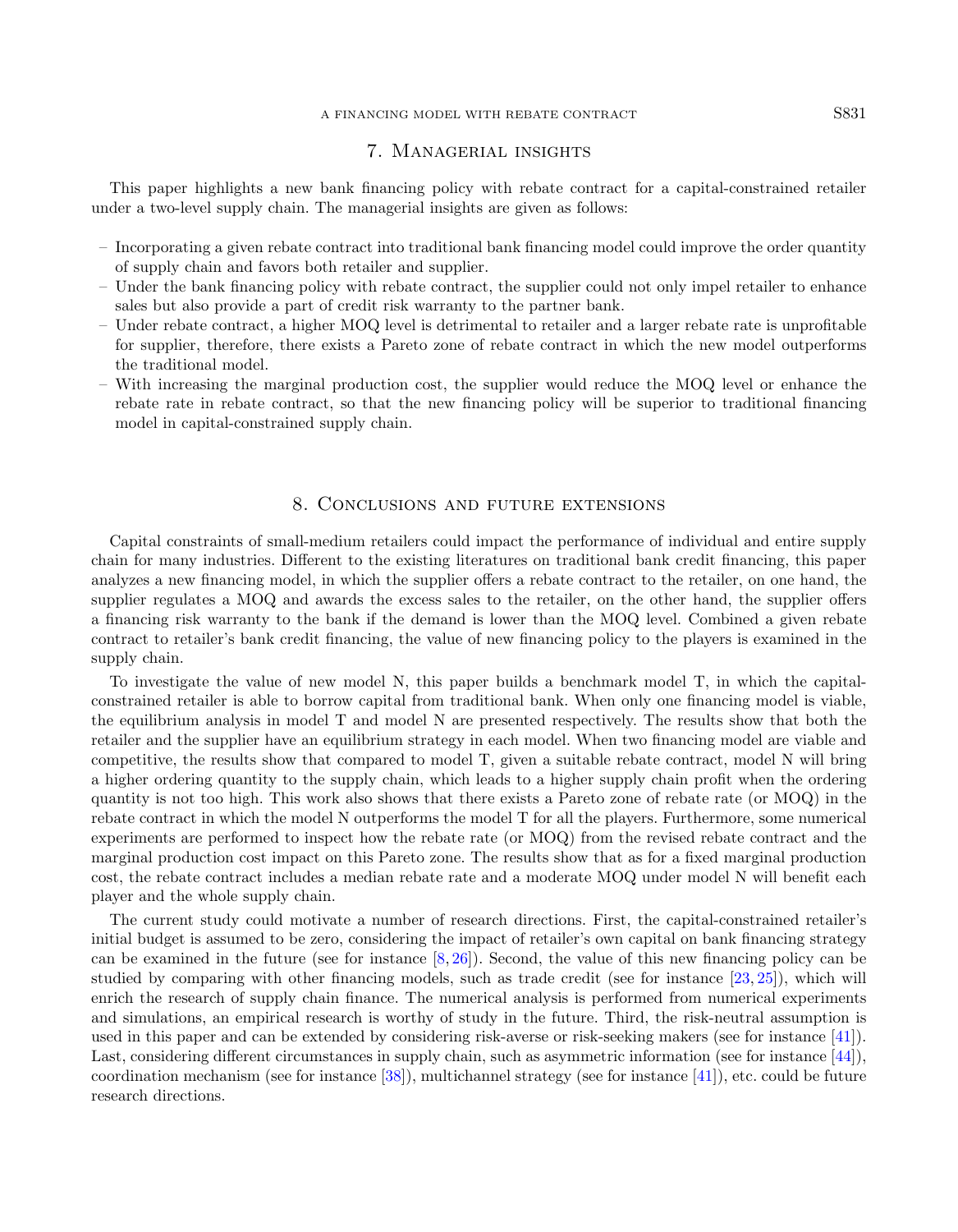#### A FINANCING MODEL WITH REBATE CONTRACT S831

# 7. Managerial insights

<span id="page-20-0"></span>This paper highlights a new bank financing policy with rebate contract for a capital-constrained retailer under a two-level supply chain. The managerial insights are given as follows:

- Incorporating a given rebate contract into traditional bank financing model could improve the order quantity of supply chain and favors both retailer and supplier.
- Under the bank financing policy with rebate contract, the supplier could not only impel retailer to enhance sales but also provide a part of credit risk warranty to the partner bank.
- Under rebate contract, a higher MOQ level is detrimental to retailer and a larger rebate rate is unprofitable for supplier, therefore, there exists a Pareto zone of rebate contract in which the new model outperforms the traditional model.
- With increasing the marginal production cost, the supplier would reduce the MOQ level or enhance the rebate rate in rebate contract, so that the new financing policy will be superior to traditional financing model in capital-constrained supply chain.

# 8. Conclusions and future extensions

<span id="page-20-1"></span>Capital constraints of small-medium retailers could impact the performance of individual and entire supply chain for many industries. Different to the existing literatures on traditional bank credit financing, this paper analyzes a new financing model, in which the supplier offers a rebate contract to the retailer, on one hand, the supplier regulates a MOQ and awards the excess sales to the retailer, on the other hand, the supplier offers a financing risk warranty to the bank if the demand is lower than the MOQ level. Combined a given rebate contract to retailer's bank credit financing, the value of new financing policy to the players is examined in the supply chain.

To investigate the value of new model N, this paper builds a benchmark model T, in which the capitalconstrained retailer is able to borrow capital from traditional bank. When only one financing model is viable, the equilibrium analysis in model T and model N are presented respectively. The results show that both the retailer and the supplier have an equilibrium strategy in each model. When two financing model are viable and competitive, the results show that compared to model T, given a suitable rebate contract, model N will bring a higher ordering quantity to the supply chain, which leads to a higher supply chain profit when the ordering quantity is not too high. This work also shows that there exists a Pareto zone of rebate rate (or MOQ) in the rebate contract in which the model N outperforms the model T for all the players. Furthermore, some numerical experiments are performed to inspect how the rebate rate (or MOQ) from the revised rebate contract and the marginal production cost impact on this Pareto zone. The results show that as for a fixed marginal production cost, the rebate contract includes a median rebate rate and a moderate MOQ under model N will benefit each player and the whole supply chain.

The current study could motivate a number of research directions. First, the capital-constrained retailer's initial budget is assumed to be zero, considering the impact of retailer's own capital on bank financing strategy can be examined in the future (see for instance [\[8,](#page-24-6) [26\]](#page-25-13)). Second, the value of this new financing policy can be studied by comparing with other financing models, such as trade credit (see for instance [\[23,](#page-25-11) [25\]](#page-25-3)), which will enrich the research of supply chain finance. The numerical analysis is performed from numerical experiments and simulations, an empirical research is worthy of study in the future. Third, the risk-neutral assumption is used in this paper and can be extended by considering risk-averse or risk-seeking makers (see for instance [\[41\]](#page-25-8)). Last, considering different circumstances in supply chain, such as asymmetric information (see for instance [\[44\]](#page-25-30)), coordination mechanism (see for instance [\[38\]](#page-25-19)), multichannel strategy (see for instance [\[41\]](#page-25-8)), etc. could be future research directions.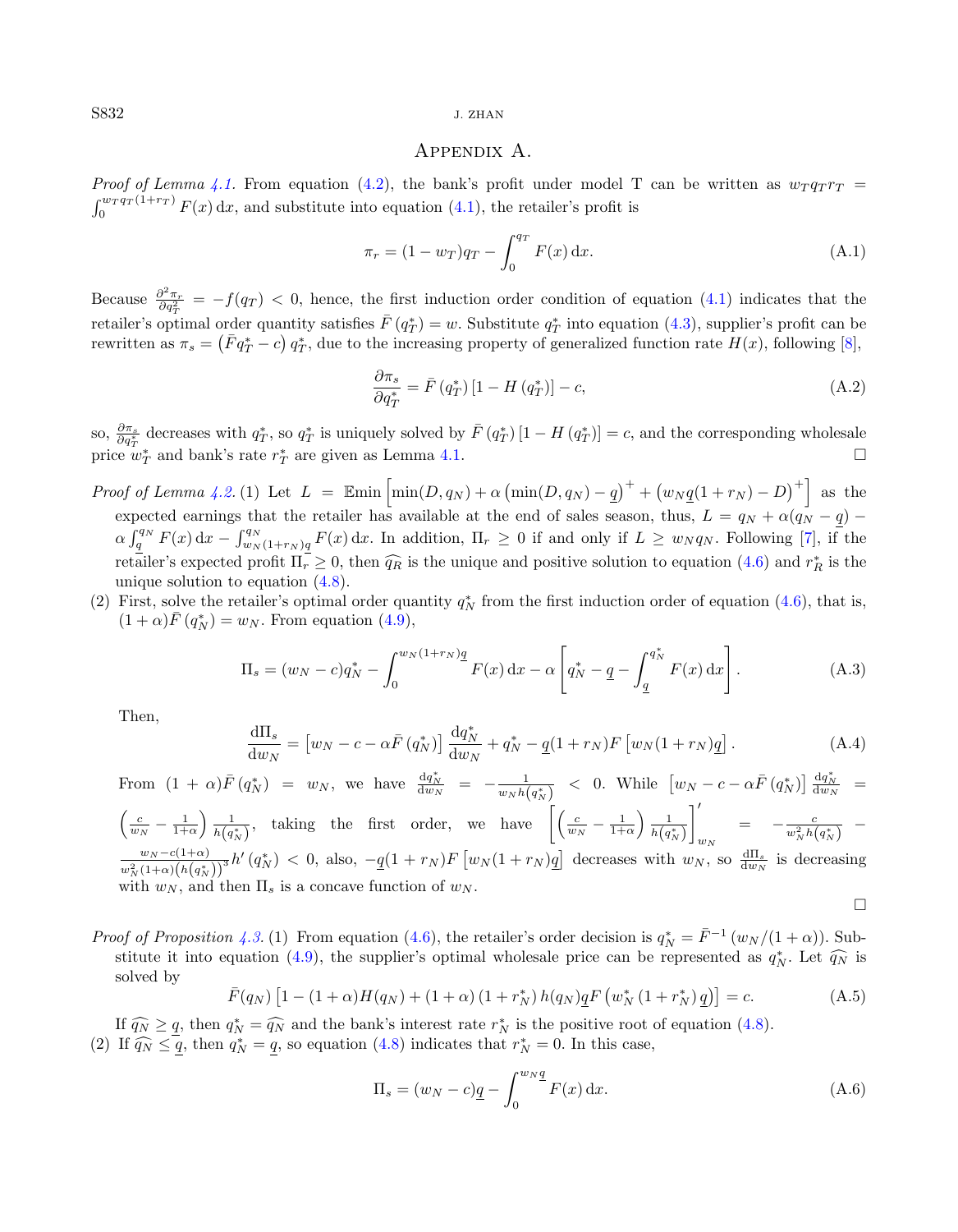# $S832$  J. ZHAN

# Appendix A.

*Proof of Lemma [4.1.](#page-7-2)* From equation [\(4.2\)](#page-7-1), the bank's profit under model T can be written as  $w_T q_T r_T$  =  $\int_0^{w_T q_T (1+r_T)} F(x) dx$ , and substitute into equation [\(4.1\)](#page-7-3), the retailer's profit is

$$
\pi_r = (1 - w_T)q_T - \int_0^{q_T} F(x) \, \mathrm{d}x. \tag{A.1}
$$

Because  $\frac{\partial^2 \pi_r}{\partial q_T^2} = -f(q_T) < 0$ , hence, the first induction order condition of equation [\(4.1\)](#page-7-3) indicates that the retailer's optimal order quantity satisfies  $\bar{F}(q_T^*) = w$ . Substitute  $q_T^*$  into equation [\(4.3\)](#page-7-4), supplier's profit can be rewritten as  $\pi_s = (\bar{F}q_T^* - c) q_T^*$ , due to the increasing property of generalized function rate  $H(x)$ , following [\[8\]](#page-24-6),

$$
\frac{\partial \pi_s}{\partial q_T^*} = \bar{F}\left(q_T^*\right)\left[1 - H\left(q_T^*\right)\right] - c,\tag{A.2}
$$

so,  $\frac{\partial \pi_s}{\partial q_T^*}$  decreases with  $q_T^*$ , so  $q_T^*$  is uniquely solved by  $\bar{F}(q_T^*)[1-H(q_T^*)]=c$ , and the corresponding wholesale price  $w_T^*$  and bank's rate  $r_T^*$  are given as Lemma [4.1.](#page-7-2)

Proof of Lemma [4.2.](#page-9-0) (1) Let  $L = \text{Emin}\left[\min(D, q_N) + \alpha \left(\min(D, q_N) - q\right)^+ + \left(w_N q(1 + r_N) - D\right)^+\right]$  as the expected earnings that the retailer has available at the end of sales season, thus,  $L = q_N + \alpha(\vec{q_N} - \vec{q})$  $\alpha \int_q^{q_N} F(x) dx - \int_{w_N(1+r_N)q}^{q_N} F(x) dx$ . In addition,  $\Pi_r \geq 0$  if and only if  $L \geq w_N q_N$ . Following [\[7\]](#page-24-4), if the retailer's expected profit  $\Pi_r \geq 0$ , then  $\widehat{q}_R$  is the unique and positive solution to equation [\(4.6\)](#page-8-4) and  $r_R^*$  is the unique solution to equation [\(4.8\)](#page-8-1).

(2) First, solve the retailer's optimal order quantity  $q_N^*$  from the first induction order of equation [\(4.6\)](#page-8-4), that is,  $(1+\alpha)\bar{F}(q_N^*)=w_N$ . From equation [\(4.9\)](#page-9-1),

$$
\Pi_s = (w_N - c)q_N^* - \int_0^{w_N(1 + r_N)q} F(x) dx - \alpha \left[ q_N^* - \underline{q} - \int_{\underline{q}}^{q_N^*} F(x) dx \right]. \tag{A.3}
$$

Then,

$$
\frac{\mathrm{d}\Pi_s}{\mathrm{d}w_N} = \left[w_N - c - \alpha \bar{F}\left(q_N^*\right)\right] \frac{\mathrm{d}q_N^*}{\mathrm{d}w_N} + q_N^* - \underline{q}(1 + r_N)F\left[w_N(1 + r_N)\underline{q}\right].\tag{A.4}
$$

From  $(1 + \alpha)\bar{F}(q_N^*) = w_N$ , we have  $\frac{dq_N^*}{dw_N} = -\frac{1}{w_N h(q_N^*)} < 0$ . While  $[w_N - c - \alpha \bar{F}(q_N^*)] \frac{dq_N^*}{dw_N} =$  $\left(\frac{c}{w_N}-\frac{1}{1+\alpha}\right)\frac{1}{h\left(q_N^*\right)},$  taking the first order, we have  $\left[\left(\frac{c}{w_N}-\frac{1}{1+\alpha}\right)\frac{1}{h\left(q_N^*\right)}\right]$  $\int_{w_N}^{\prime} = -\frac{c}{w_N^2 h(q_N^*)}$  –  $w_N - c(1+\alpha)$   $h'(a^*) < 0$  else  $a(1+n_{\infty})F[w_{\infty}(1+n_{\infty})\alpha]$  decreases with  $w_N$  $\frac{w_N - c(1+\alpha)}{w_N^2(1+\alpha)(h(q_N^*))^3}h'(q_N^*)$  < 0, also,  $-q(1 + r_N)F[w_N(1 + r_N)q]$  decreases with  $w_N$ , so  $\frac{d\Pi_s}{dw_N}$  is decreasing with  $w_N$ , and then  $\Pi_s$  is a concave function of  $w_N$ .

 $\Box$ 

*Proof of Proposition [4.3.](#page-9-2)* (1) From equation [\(4.6\)](#page-8-4), the retailer's order decision is  $q_N^* = \bar{F}^{-1}(w_N/(1+\alpha))$ . Sub-stitute it into equation [\(4.9\)](#page-9-1), the supplier's optimal wholesale price can be represented as  $q_N^*$ . Let  $\widehat{q_N}$  is solved by  $\overline{F}$ 

$$
\bar{r}(q_N) \left[ 1 - (1 + \alpha)H(q_N) + (1 + \alpha) (1 + r_N^*) h(q_N) \underline{q} F \left( w_N^* (1 + r_N^*) \underline{q} \right) \right] = c. \tag{A.5}
$$

If  $\widehat{q_N} \geq \widehat{q}$ , then  $q_N^* = \widehat{q_N}$  and the bank's interest rate  $r_N^*$  is the positive root of equation [\(4.8\)](#page-8-1). (2) If  $\widehat{q}_N \leq \overline{q}$ , then  $q_N^* = q$ , so equation [\(4.8\)](#page-8-1) indicates that  $r_N^* = 0$ . In this case,

$$
\Pi_s = (w_N - c)\underline{q} - \int_0^{w_N \underline{q}} F(x) \, \mathrm{d}x. \tag{A.6}
$$

<span id="page-21-0"></span>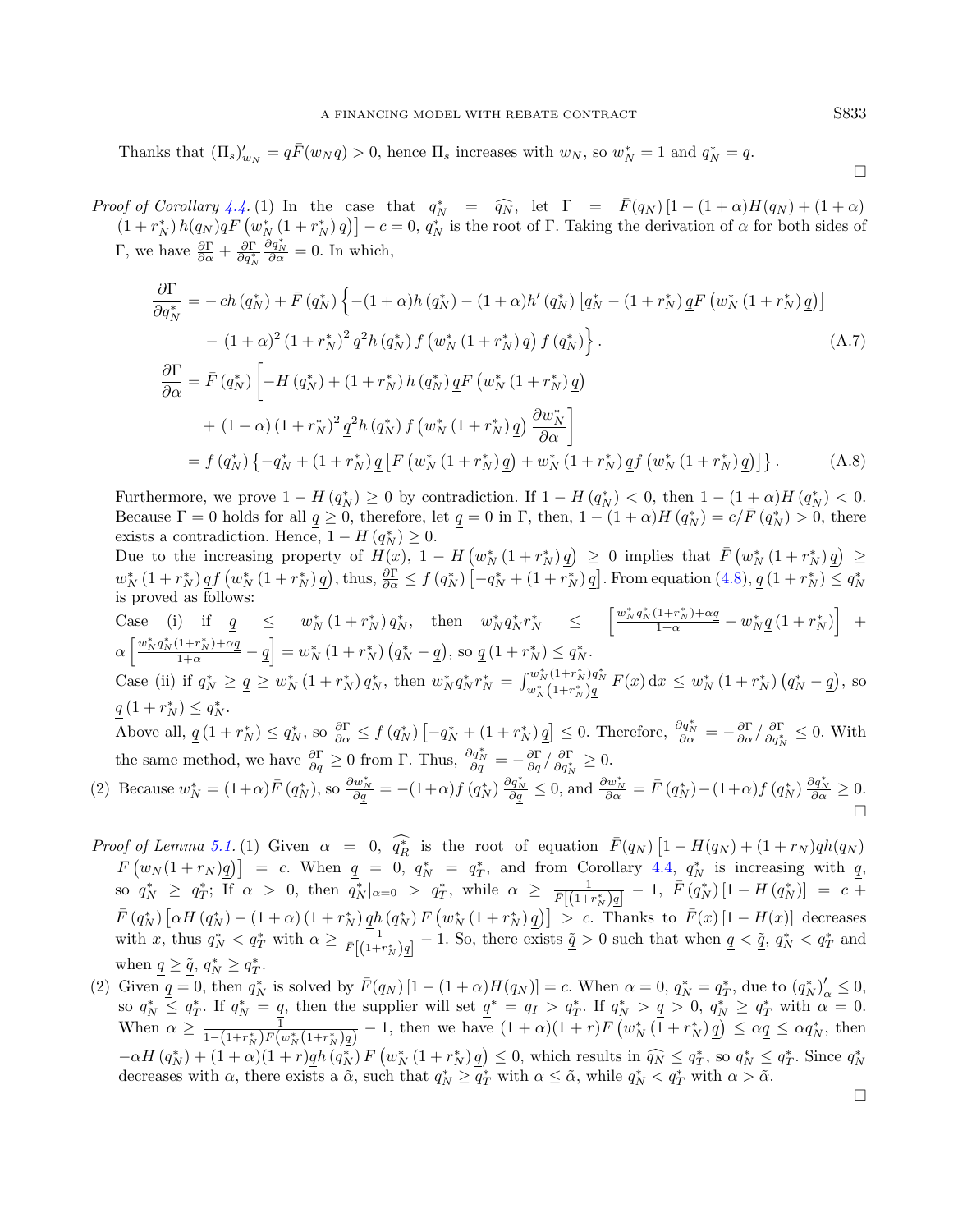Thanks that  $(\Pi_s)'_{w_N} = \underline{q} \overline{F}(w_N \underline{q}) > 0$ , hence  $\Pi_s$  increases with  $w_N$ , so  $w_N^* = 1$  and  $q_N^* = \underline{q}$ .

Proof of Corollary [4.4.](#page-9-3) (1) In the case that  $q_N^* = \widehat{q_N}$ , let  $\Gamma = \overline{F}(q_N) [1 - (1 + \alpha)H(q_N) + (1 + \alpha)$ <br>(1+  $r^*$ )  $h(q_N) \alpha F(q_N^* + (1 + r^*) \alpha)] = c - 0$   $\alpha^*$  is the root of  $\Gamma$ . Taking the derivation of  $\alpha$  for both sides of  $(1 + r_N^*) h(q_N) \underline{q} F(w_N^*(1 + r_N^*) \underline{q}) - c = 0, q_N^*$  is the root of Γ. Taking the derivation of  $\alpha$  for both sides of Γ, we have  $\frac{\partial \Gamma}{\partial \alpha} + \frac{\partial \Gamma}{\partial q_N^*}$  $\frac{\partial q_N^*}{\partial \alpha} = 0$ . In which,

$$
\frac{\partial \Gamma}{\partial q_N^*} = -\operatorname{ch}(q_N^*) + \bar{F}(q_N^*) \left\{ -(1+\alpha)h(q_N^*) - (1+\alpha)h'(q_N^*) \left[ q_N^* - (1+r_N^*) \underline{q} F(w_N^*(1+r_N^*) \underline{q}) \right] \right.\n- (1+\alpha)^2 (1+r_N^*)^2 \underline{q}^2 h(q_N^*) f(w_N^*(1+r_N^*) \underline{q}) f(q_N^*) \right\}.
$$
\n(A.7)\n
$$
\frac{\partial \Gamma}{\partial \alpha} = \bar{F}(q_N^*) \left[ -H(q_N^*) + (1+r_N^*)h(q_N^*) \underline{q} F(w_N^*(1+r_N^*) \underline{q}) \right.\n+ (1+\alpha)(1+r_N^*)^2 \underline{q}^2 h(q_N^*) f(w_N^*(1+r_N^*) \underline{q}) \frac{\partial w_N^*}{\partial \alpha} \right]\n= f(q_N^*) \left\{ -q_N^* + (1+r_N^*) \underline{q} \left[ F(w_N^*(1+r_N^*) \underline{q}) + w_N^*(1+r_N^*) \underline{q} f(w_N^*(1+r_N^*) \underline{q}) \right] \right\}.
$$
\n(A.8)

Furthermore, we prove  $1 - H(q_N^*) \geq 0$  by contradiction. If  $1 - H(q_N^*) < 0$ , then  $1 - (1 + \alpha)H(q_N^*) < 0$ . Because  $\Gamma = 0$  holds for all  $q \ge 0$ , therefore, let  $q = 0$  in  $\Gamma$ , then,  $1 - (1 + \alpha)H(q_N^*) = c/\overline{F}(q_N^*) > 0$ , there exists a contradiction. Hence,  $1 - H(q_N^*) \geq 0$ .

Due to the increasing property of  $H(x)$ ,  $1 - H(w_N^*(1 + r_N^*)\underline{q}) \ge 0$  implies that  $\bar{F}(w_N^*(1 + r_N^*)\underline{q}) \ge$  $w_N^*$   $(1 + r_N^*) \underline{q} f(w_N^* (1 + r_N^*) \underline{q})$ , thus,  $\frac{\partial \Gamma}{\partial \alpha} \leq f(q_N^*) \left[ -q_N^* + (1 + r_N^*) \underline{q} \right]$ . From equation  $(4.8)$ ,  $\underline{q}$   $(1 + r_N^*) \leq q_N^*$ is proved as follows: Case (i) if  $q \leq w_N^* (1 + r_N^*) q_N^*$ , then  $w_N^* q_N^* r_N^* \leq \left[ \frac{w_N^* q_N^* (1 + r_N^*) + \alpha q}{1 + \alpha} - w_N^* q (1 + r_N^*) \right]$  +  $\alpha \left[ \frac{w_N^* q_N^* (1+r_N^*) + \alpha q}{1+\alpha} - \underline{q} \right] = w_N^* (1+r_N^*) \left( q_N^* - \underline{q} \right)$ , so  $\underline{q} (1+r_N^*) \leq q_N^*$ . Case (ii) if  $q_N^* \geq q \geq w_N^* (1 + r_N^*) q_N^*$ , then  $w_N^* q_N^* r_N^* = \int_{w_N^* (1 + r_N^*) q_N^*}^{w_N^* (1 + r_N^*) q_N^*} F(x) dx \leq w_N^* (1 + r_N^*) (q_N^* - q)$ , so  $\underline{q} (1 + r_N^*) \leq q_N^*$ . Above all,  $\underline{q}(1+r_N^*) \leq q_N^*$ , so  $\frac{\partial \Gamma}{\partial \alpha} \leq f(q_N^*) \left[ -q_N^* + (1+r_N^*) \underline{q} \right] \leq 0$ . Therefore,  $\frac{\partial q_N^*}{\partial \alpha} = -\frac{\partial \Gamma}{\partial \alpha} / \frac{\partial \Gamma}{\partial q_N^*} \leq 0$ . With the same method, we have  $\frac{\partial \Gamma}{\partial q} \ge 0$  from  $\Gamma$ . Thus,  $\frac{\partial q_N^*}{\partial q} = -\frac{\partial \Gamma}{\partial q} / \frac{\partial \Gamma}{\partial q_N^*} \ge 0$ . (2) Because  $w_N^* = (1+\alpha)\bar{F}(q_N^*),$  so  $\frac{\partial w_N^*}{\partial q} = -(1+\alpha)f(q_N^*)\frac{\partial q_N^*}{\partial q} \leq 0$ , and  $\frac{\partial w_N^*}{\partial \alpha} = \bar{F}(q_N^*) - (1+\alpha)f(q_N^*)\frac{\partial q_N^*}{\partial \alpha} \geq 0$ .

Proof of Lemma 5.1. (1) Given 
$$
\alpha = 0
$$
,  $\widehat{q}_R^*$  is the root of equation  $\bar{F}(q_N) \left[1 - H(q_N) + (1 + r_N) \frac{q h}{q_N} \right]$  and  $F(w_N(1 + r_N)q) = c$ . When  $q = 0$ ,  $q_N^* = q_T^*$ , and from Corollary 4.4,  $q_N^*$  is increasing with  $q_N^*$  so  $q_N^* \geq q_T^*$ ; if  $\alpha > 0$ , then  $q_N^*|_{\alpha=0} > q_T^*$ , while  $\alpha \geq \frac{1}{\bar{F}[(1+r_N^*)q]} - 1$ ,  $\bar{F}(q_N^*) \left[1 - H(q_N^*)\right] = c + \frac{1}{\bar{F}(1+r_N^*)q}$ .

 $\bar{F}(q_N^*) \left[ \alpha H(q_N^*) - (1+\alpha)(1+r_N^*) \underline{q} h(q_N^*) F(w_N^*(1+r_N^*) \underline{q}) \right] > c.$  Thanks to  $\bar{F}(x)[1-H(x)]$  decreases with x, thus  $q_N^* < q_T^*$  with  $\alpha \ge \frac{1}{\bar{F}[(1+r_N^*)q]} - 1$ . So, there exists  $\tilde{q} > 0$  such that when  $q < \tilde{q}$ ,  $q_N^* < q_T^*$  and when  $\underline{q} \geq \underline{\tilde{q}}, q_N^* \geq q_T^*$ . ∗ > a\*

(2) Given  $q = 0$ , then  $q_N^*$  is solved by  $\bar{F}(q_N) [1 - (1 + \alpha)H(q_N)] = c$ . When  $\alpha = 0$ ,  $q_N^* = q_T^*$ , due to  $(q_N^*)_{\alpha}^* \leq 0$ , so  $q_N^* \leq q_T^*$ . If  $q_N^* = q$ , then the supplier will set  $q^* = q_I > q_T^*$ . If  $q_N^* > q \geq 0$ ,  $q_N^* \geq q_T^*$  with  $\alpha = 0$ . When  $\alpha \ge \frac{1}{1-(1+r_N^*)F(w_N^*(1+r_N^*)q)}-1$ , then we have  $(1+\alpha)(1+r)F(w_N^*(1+r_N^*)q) \le \alpha q \le \alpha q_N^*$ , then  $-\alpha H(q_N^*) + (1+\alpha)(1+r)g h(q_N^*) F(w_N^*(1+r_N^*)g) \leq 0$ , which results in  $\widehat{q_N} \leq q_T^*$ , so  $q_N^* \leq q_T^*$ . Since  $q_N^*$  decreases with  $\alpha$  there exists a  $\alpha$  such that  $\alpha^* \geq \alpha^*$  with  $\alpha \leq \alpha^*$  with  $\alpha > \widetilde{\alpha}$ decreases with  $\alpha$ , there exists a  $\tilde{\alpha}$ , such that  $q_N^* \geq \tilde{q}_T^*$  with  $\alpha \leq \tilde{\alpha}$ , while  $q_N^* < q_T^*$  with  $\alpha > \tilde{\alpha}$ .

 $\Box$ 

 $\Box$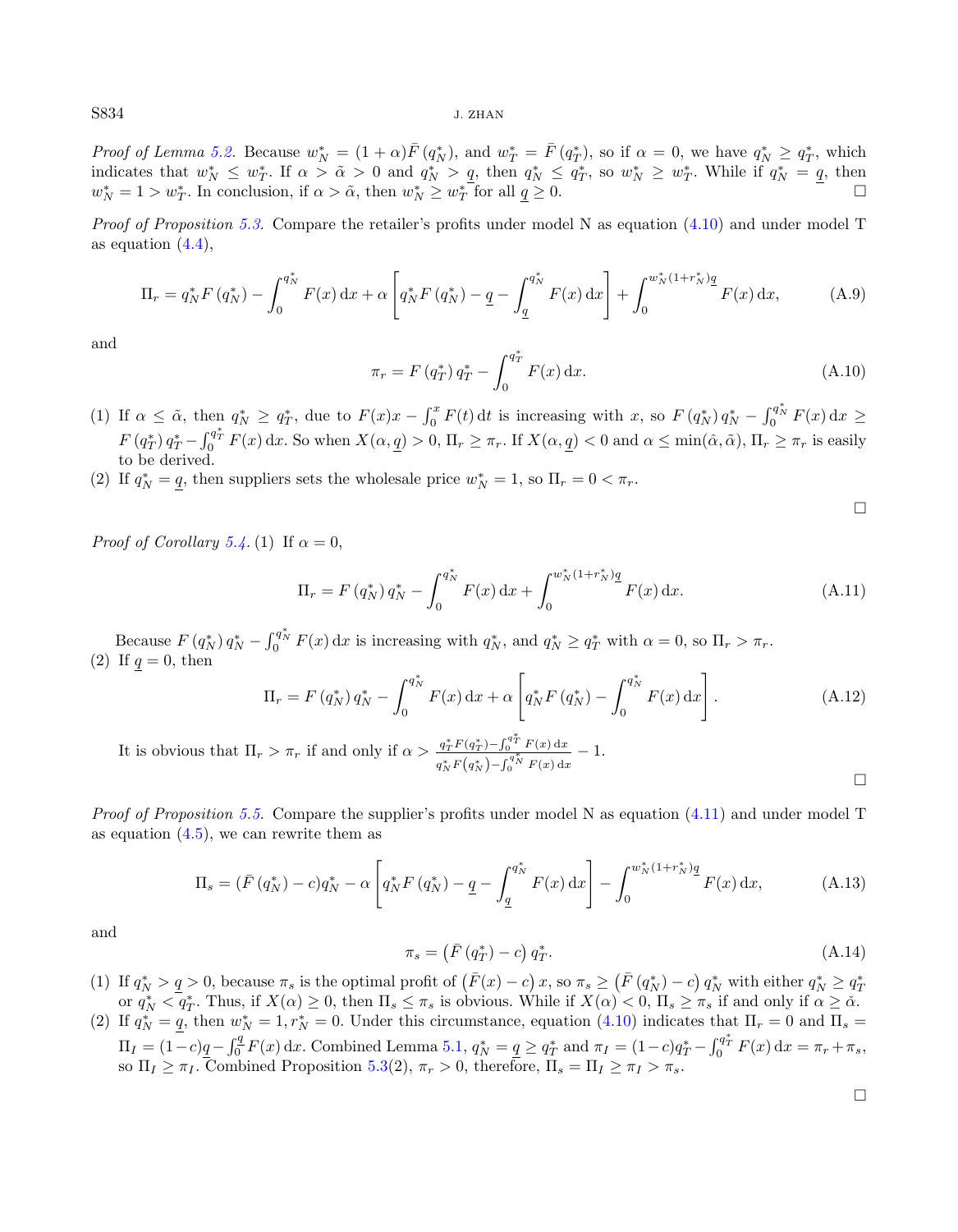$S834$  J. ZHAN

Proof of Lemma [5.2.](#page-10-2) Because  $w_N^* = (1 + \alpha)\bar{F}(q_N^*)$ , and  $w_T^* = \bar{F}(q_T^*)$ , so if  $\alpha = 0$ , we have  $q_N^* \ge q_T^*$ , which indicates that  $w_N^* \leq w_T^*$ . If  $\alpha > \tilde{\alpha} > 0$  and  $q_N^* > \underline{q}$ , then  $q_N^* \leq q_T^*$ , so  $w_N^* \geq w_T^*$ . While if  $q_N^* = \underline{q}$ , then  $w_N^* = 1 > w_T^*$ . In conclusion, if  $\alpha > \tilde{\alpha}$ , then  $w_N^* \geq w_T^*$  for all  $q \geq 0$ .

Proof of Proposition [5.3.](#page-11-0) Compare the retailer's profits under model N as equation [\(4.10\)](#page-9-4) and under model T as equation  $(4.4)$ ,

$$
\Pi_r = q_N^* F(q_N^*) - \int_0^{q_N^*} F(x) dx + \alpha \left[ q_N^* F(q_N^*) - \underline{q} - \int_{\underline{q}}^{q_N^*} F(x) dx \right] + \int_0^{w_N^*(1+r_N^*)\underline{q}} F(x) dx, \tag{A.9}
$$

and

$$
\pi_r = F(q_T^*) q_T^* - \int_0^{q_T^*} F(x) \, dx.
$$
\n(A.10)

- (1) If  $\alpha \leq \tilde{\alpha}$ , then  $q_N^* \geq q_T^*$ , due to  $F(x)x \int_0^x F(t) dt$  is increasing with x, so  $F(q_N^*) q_N^* \int_0^{q_N^*} F(x) dx \geq$  $F(q_T^*) q_T^* - \int_0^{q_T^*} F(x) dx$ . So when  $X(\alpha, \underline{q}) > 0$ ,  $\Pi_r \geq \pi_r$ . If  $X(\alpha, \underline{q}) < 0$  and  $\alpha \leq \min(\hat{\alpha}, \tilde{\alpha})$ ,  $\Pi_r \geq \pi_r$  is easily to be derived.
- (2) If  $q_N^* = \underline{q}$ , then suppliers sets the wholesale price  $w_N^* = 1$ , so  $\Pi_r = 0 < \pi_r$ .

 $\Box$ 

 $\Box$ 

Proof of Corollary 5.4. (1) If 
$$
\alpha = 0
$$
,

$$
\Pi_r = F(q_N^*) q_N^* - \int_0^{q_N^*} F(x) dx + \int_0^{w_N^* (1 + r_N^*)q} F(x) dx.
$$
 (A.11)

Because  $F(q_N^*) q_N^* - \int_0^{q_N^*} F(x) dx$  is increasing with  $q_N^*$ , and  $q_N^* \ge q_T^*$  with  $\alpha = 0$ , so  $\Pi_r > \pi_r$ . (2) If  $q=0$ , then

$$
\Pi_r = F(q_N^*) q_N^* - \int_0^{q_N^*} F(x) dx + \alpha \left[ q_N^* F(q_N^*) - \int_0^{q_N^*} F(x) dx \right]. \tag{A.12}
$$

It is obvious that  $\Pi_r > \pi_r$  if and only if  $\alpha > \frac{q_T^* F(q_T^*) - \int_0^{q_T^*} F(x) dx}{\pi(\alpha) + \int_0^{q_T^*} F(x) dx}$  $\frac{q_N^* F(q_N^*) - \int_0^{q_N^*} F(x) dx}{q_N^*}$ − 1.

*Proof of Proposition [5.5.](#page-11-2)* Compare the supplier's profits under model N as equation  $(4.11)$  and under model T as equation  $(4.5)$ , we can rewrite them as

$$
\Pi_s = (\bar{F}(q_N^*) - c)q_N^* - \alpha \left[ q_N^* F(q_N^*) - \underline{q} - \int_{\underline{q}}^{q_N^*} F(x) dx \right] - \int_0^{w_N^*(1 + r_N^*)\underline{q}} F(x) dx, \tag{A.13}
$$

and

$$
\pi_s = \left(\bar{F}\left(q_T^*\right) - c\right)q_T^*.\tag{A.14}
$$

- (1) If  $q_N^* > q > 0$ , because  $\pi_s$  is the optimal profit of  $(\bar{F}(x) c)x$ , so  $\pi_s \geq (\bar{F}(q_N^*) c) q_N^*$  with either  $q_N^* \geq q_T^*$ or  $q_N^* < q_T^*$ . Thus, if  $X(\alpha) \geq 0$ , then  $\Pi_s \leq \pi_s$  is obvious. While if  $X(\alpha) < 0$ ,  $\Pi_s \geq \pi_s$  if and only if  $\alpha \geq \alpha$ .
- (2) If  $q_N^* = q$ , then  $w_N^* = 1, r_N^* = 0$ . Under this circumstance, equation [\(4.10\)](#page-9-4) indicates that  $\Pi_r = 0$  and  $\Pi_s = 0$  $\Pi_I = (1-c)q - \int_0^q F(x) dx$ . Combined Lemma [5.1,](#page-10-1)  $q_N^* = q \ge q_T^*$  and  $\pi_I = (1-c)q_T^* - \int_0^{q_T^*} F(x) dx = \pi_r + \pi_s$ , so  $\Pi_I \geq \pi_I$ . Combined Proposition [5.3\(](#page-11-0)2),  $\pi_r > 0$ , therefore,  $\Pi_s = \Pi_I \geq \pi_I > \pi_s$ .

 $\Box$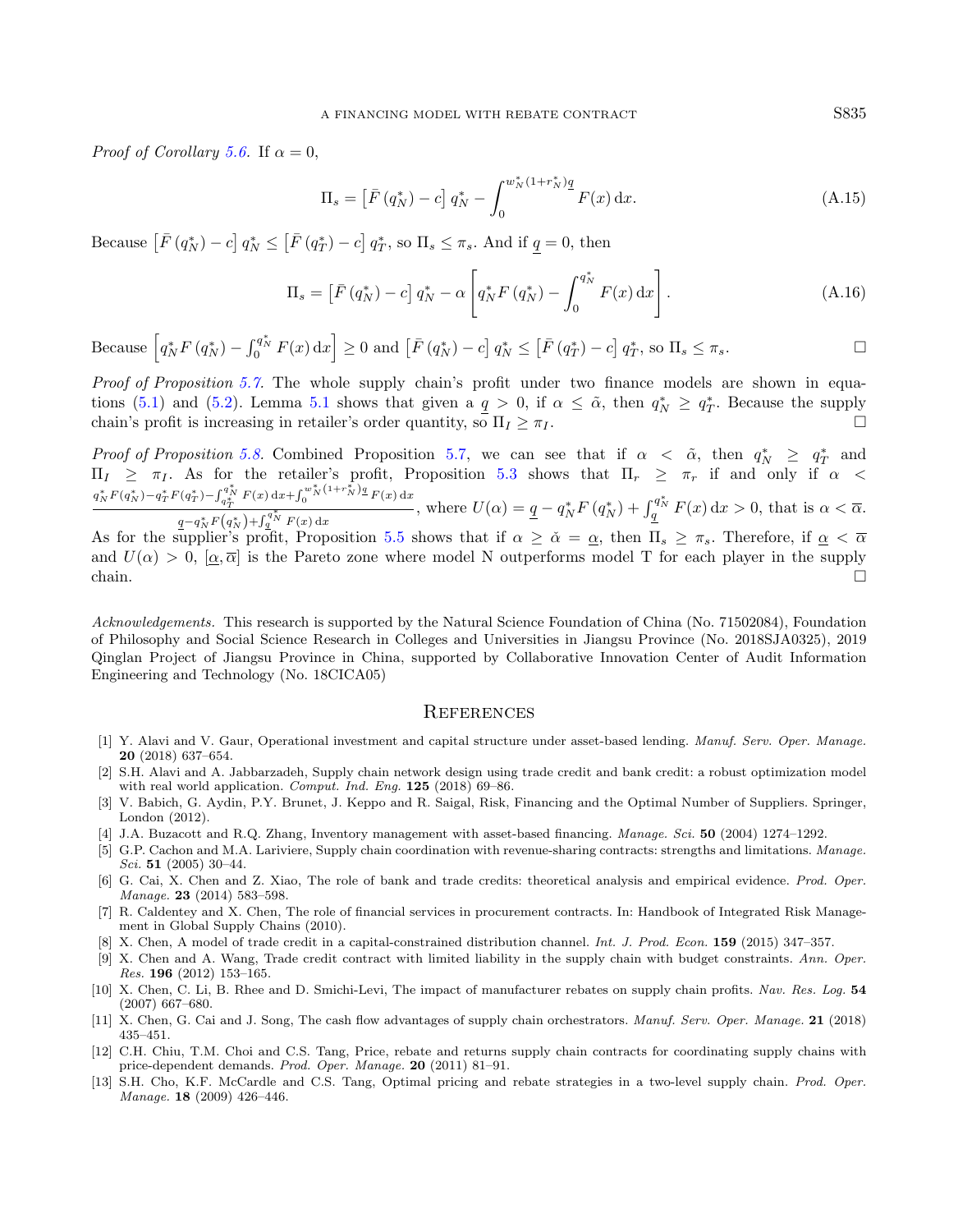*Proof of Corollary [5.6.](#page-12-1)* If  $\alpha = 0$ ,

$$
\Pi_s = \left[ \bar{F} \left( q_N^* \right) - c \right] q_N^* - \int_0^{w_N^* (1 + r_N^*)q} F(x) \, \mathrm{d}x. \tag{A.15}
$$

Because  $\left[ \bar{F} (q_N^*) - c \right] q_N^* \leq \left[ \bar{F} (q_T^*) - c \right] q_T^*$ , so  $\Pi_s \leq \pi_s$ . And if  $q = 0$ , then

$$
\Pi_s = \left[ \bar{F}(q_N^*) - c \right] q_N^* - \alpha \left[ q_N^* F(q_N^*) - \int_0^{q_N^*} F(x) \, \mathrm{d}x \right]. \tag{A.16}
$$

Because  $\left[q_N^* F(q_N^*) - \int_0^{q_N^*} F(x) dx\right] \ge 0$  and  $\left[\bar{F}(q_N^*) - c\right] q_N^* \le \left[\bar{F}(q_T^*) - c\right] q_T^*$ , so  $\Pi_s \le \pi_s$ .

Proof of Proposition [5.7.](#page-12-2) The whole supply chain's profit under two finance models are shown in equa-tions [\(5.1\)](#page-12-3) and [\(5.2\)](#page-12-4). Lemma [5.1](#page-10-1) shows that given a  $q > 0$ , if  $\alpha \leq \tilde{\alpha}$ , then  $q_N^* \geq q_T^*$ . Because the supply chain's profit is increasing in retailer's order quantity, so  $\Pi_I \geq \pi_I$ .

<span id="page-24-9"></span>Proof of Proposition [5.8.](#page-12-5) Combined Proposition [5.7,](#page-12-2) we can see that if  $\alpha < \tilde{\alpha}$ , then  $q_N^* \ge q_T^*$  and  $\Pi_I \geq \pi_I$ . As for the retailer's profit, Proposition [5.3](#page-11-0) shows that  $\Pi_r \geq \pi_r$  if and only if  $\alpha$  <  $q_N^*F(q_N^*)-q_T^*F(q_T^*)-\int_{q_T^*}^{q_N^*}F(x)\,\mathrm{d}x+\int_{0}^{w_N^*}(1+r_N^*)^2\,F(x)\,\mathrm{d}x$  $\frac{q-q_{\hat{N}}^*F(q_{\hat{N}}^*)+f_q^{\hat{q}_{\hat{N}}^*F(x)\,dx+J_0}}{q-q_{\hat{N}}^*F(q_{\hat{N}}^*)+f_q^{\hat{q}_{\hat{N}}^*F(x)\,dx}},$  where  $U(\alpha)=\underline{q}-q_{\hat{N}}^*F(q_{\hat{N}}^*)+f_q^{\hat{q}_{\hat{N}}^*F(x)\,dx}>0$ , that is  $\alpha<\overline{\alpha}$ . As for the supplier's profit, Proposition [5.5](#page-11-2) shows that if  $\alpha \geq \alpha = \alpha$ , then  $\Pi_s \geq \pi_s$ . Therefore, if  $\alpha < \overline{\alpha}$ and  $U(\alpha) > 0$ ,  $[\alpha, \overline{\alpha}]$  is the Pareto zone where model N outperforms model T for each player in the supply

<span id="page-24-5"></span><span id="page-24-2"></span><span id="page-24-0"></span>Acknowledgements. This research is supported by the Natural Science Foundation of China (No. 71502084), Foundation of Philosophy and Social Science Research in Colleges and Universities in Jiangsu Province (No. 2018SJA0325), 2019 Qinglan Project of Jiangsu Province in China, supported by Collaborative Innovation Center of Audit Information Engineering and Technology (No. 18CICA05)

<span id="page-24-7"></span><span id="page-24-3"></span>chain.

#### **REFERENCES**

- <span id="page-24-6"></span><span id="page-24-4"></span><span id="page-24-1"></span>[1] Y. Alavi and V. Gaur, Operational investment and capital structure under asset-based lending. Manuf. Serv. Oper. Manage. 20 (2018) 637–654.
- <span id="page-24-10"></span>[2] S.H. Alavi and A. Jabbarzadeh, Supply chain network design using trade credit and bank credit: a robust optimization model with real world application. *Comput. Ind. Eng.* **125** (2018) 69–86.
- <span id="page-24-8"></span>[3] V. Babich, G. Aydin, P.Y. Brunet, J. Keppo and R. Saigal, Risk, Financing and the Optimal Number of Suppliers. Springer, London (2012).
- <span id="page-24-12"></span>[4] J.A. Buzacott and R.Q. Zhang, Inventory management with asset-based financing. Manage. Sci. 50 (2004) 1274–1292.
- <span id="page-24-11"></span>[5] G.P. Cachon and M.A. Lariviere, Supply chain coordination with revenue-sharing contracts: strengths and limitations. Manage. Sci. 51 (2005) 30–44.
- [6] G. Cai, X. Chen and Z. Xiao, The role of bank and trade credits: theoretical analysis and empirical evidence. Prod. Oper. Manage. 23 (2014) 583–598.
- [7] R. Caldentey and X. Chen, The role of financial services in procurement contracts. In: Handbook of Integrated Risk Management in Global Supply Chains (2010).
- [8] X. Chen, A model of trade credit in a capital-constrained distribution channel. Int. J. Prod. Econ. 159 (2015) 347–357.
- [9] X. Chen and A. Wang, Trade credit contract with limited liability in the supply chain with budget constraints. Ann. Oper. Res. 196 (2012) 153–165.
- [10] X. Chen, C. Li, B. Rhee and D. Smichi-Levi, The impact of manufacturer rebates on supply chain profits. Nav. Res. Log. 54 (2007) 667–680.
- [11] X. Chen, G. Cai and J. Song, The cash flow advantages of supply chain orchestrators. Manuf. Serv. Oper. Manage. 21 (2018) 435–451.
- [12] C.H. Chiu, T.M. Choi and C.S. Tang, Price, rebate and returns supply chain contracts for coordinating supply chains with price-dependent demands. Prod. Oper. Manage. 20 (2011) 81–91.
- [13] S.H. Cho, K.F. McCardle and C.S. Tang, Optimal pricing and rebate strategies in a two-level supply chain. Prod. Oper. Manage. 18 (2009) 426–446.